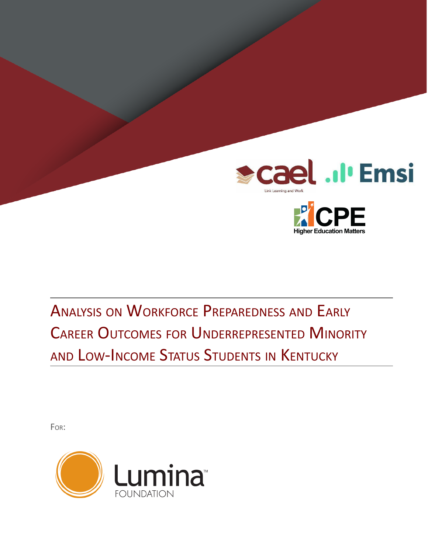



ANALYSIS ON WORKFORCE PREPAREDNESS AND EARLY CAREER OUTCOMES FOR UNDERREPRESENTED MINORITY AND LOW-INCOME STATUS STUDENTS IN KENTUCKY

FOR:

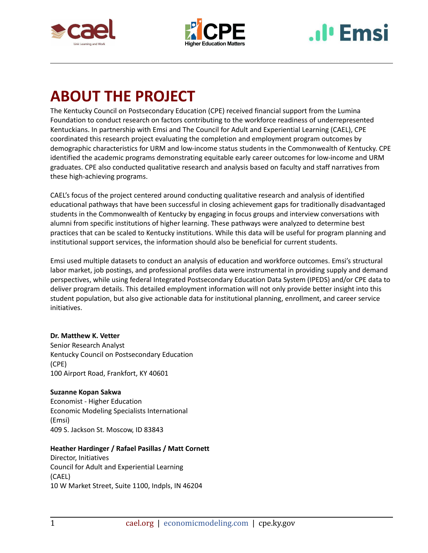



# **I** Emsi

## <span id="page-1-0"></span>**ABOUT THE PROJECT**

The Kentucky Council on Postsecondary Education (CPE) received financial support from the Lumina Foundation to conduct research on factors contributing to the workforce readiness of underrepresented Kentuckians. In partnership with Emsi and The Council for Adult and Experiential Learning (CAEL), CPE coordinated this research project evaluating the completion and employment program outcomes by demographic characteristics for URM and low-income status students in the Commonwealth of Kentucky. CPE identified the academic programs demonstrating equitable early career outcomes for low-income and URM graduates. CPE also conducted qualitative research and analysis based on faculty and staff narratives from these high-achieving programs.

CAEL's focus of the project centered around conducting qualitative research and analysis of identified educational pathways that have been successful in closing achievement gaps for traditionally disadvantaged students in the Commonwealth of Kentucky by engaging in focus groups and interview conversations with alumni from specific institutions of higher learning. These pathways were analyzed to determine best practices that can be scaled to Kentucky institutions. While this data will be useful for program planning and institutional support services, the information should also be beneficial for current students.

Emsi used multiple datasets to conduct an analysis of education and workforce outcomes. Emsi's structural labor market, job postings, and professional profiles data were instrumental in providing supply and demand perspectives, while using federal Integrated Postsecondary Education Data System (IPEDS) and/or CPE data to deliver program details. This detailed employment information will not only provide better insight into this student population, but also give actionable data for institutional planning, enrollment, and career service initiatives.

## **Dr. Matthew K. Vetter**

Senior Research Analyst Kentucky Council on Postsecondary Education (CPE) 100 Airport Road, Frankfort, KY 40601

### **Suzanne Kopan Sakwa**

Economist - Higher Education Economic Modeling Specialists International (Emsi) 409 S. Jackson St. Moscow, ID 83843

## **Heather Hardinger / Rafael Pasillas / Matt Cornett**

Director, Initiatives Council for Adult and Experiential Learning (CAEL) 10 W Market Street, Suite 1100, Indpls, IN 46204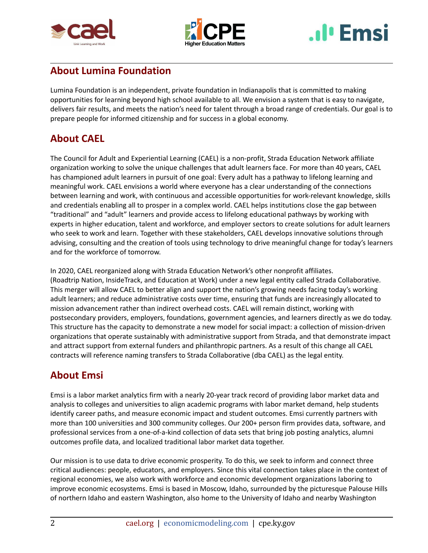





## **About Lumina Foundation**

Lumina Foundation is an independent, private foundation in Indianapolis that is committed to making opportunities for learning beyond high school available to all. We envision a system that is easy to navigate, delivers fair results, and meets the nation's need for talent through a broad range of credentials. Our goal is to prepare people for informed citizenship and for success in a global economy.

## **About CAEL**

The Council for Adult and Experiential Learning (CAEL) is a non-profit, Strada Education Network affiliate organization working to solve the unique challenges that adult learners face. For more than 40 years, CAEL has championed adult learners in pursuit of one goal: Every adult has a pathway to lifelong learning and meaningful work. CAEL envisions a world where everyone has a clear understanding of the connections between learning and work, with continuous and accessible opportunities for work-relevant knowledge, skills and credentials enabling all to prosper in a complex world. CAEL helps institutions close the gap between "traditional" and "adult" learners and provide access to lifelong educational pathways by working with experts in higher education, talent and workforce, and employer sectors to create solutions for adult learners who seek to work and learn. Together with these stakeholders, CAEL develops innovative solutions through advising, consulting and the creation of tools using technology to drive meaningful change for today's learners and for the workforce of tomorrow.

In 2020, CAEL reorganized along with Strada Education Network's other nonprofit affiliates. (Roadtrip Nation, InsideTrack, and Education at Work) under a new legal entity called Strada Collaborative. This merger will allow CAEL to better align and support the nation's growing needs facing today's working adult learners; and reduce administrative costs over time, ensuring that funds are increasingly allocated to mission advancement rather than indirect overhead costs. CAEL will remain distinct, working with postsecondary providers, employers, foundations, government agencies, and learners directly as we do today. This structure has the capacity to demonstrate a new model for social impact: a collection of mission-driven organizations that operate sustainably with administrative support from Strada, and that demonstrate impact and attract support from external funders and philanthropic partners. As a result of this change all CAEL contracts will reference naming transfers to Strada Collaborative (dba CAEL) as the legal entity.

## **About Emsi**

Emsi is a labor market analytics firm with a nearly 20-year track record of providing labor market data and analysis to colleges and universities to align academic programs with labor market demand, help students identify career paths, and measure economic impact and student outcomes. Emsi currently partners with more than 100 universities and 300 community colleges. Our 200+ person firm provides data, software, and professional services from a one-of-a-kind collection of data sets that bring job posting analytics, alumni outcomes profile data, and localized traditional labor market data together.

Our mission is to use data to drive economic prosperity. To do this, we seek to inform and connect three critical audiences: people, educators, and employers. Since this vital connection takes place in the context of regional economies, we also work with workforce and economic development organizations laboring to improve economic ecosystems. Emsi is based in Moscow, Idaho, surrounded by the picturesque Palouse Hills of northern Idaho and eastern Washington, also home to the University of Idaho and nearby Washington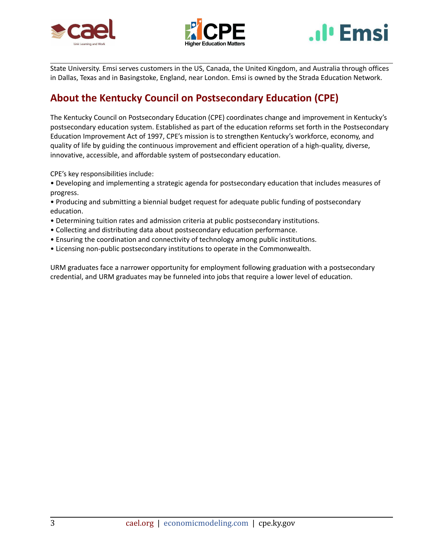





State University. Emsi serves customers in the US, Canada, the United Kingdom, and Australia through offices in Dallas, Texas and in Basingstoke, England, near London. Emsi is owned by the Strada Education Network.

## **About the Kentucky Council on Postsecondary Education (CPE)**

The Kentucky Council on Postsecondary Education (CPE) coordinates change and improvement in Kentucky's postsecondary education system. Established as part of the education reforms set forth in the Postsecondary Education Improvement Act of 1997, CPE's mission is to strengthen Kentucky's workforce, economy, and quality of life by guiding the continuous improvement and efficient operation of a high-quality, diverse, innovative, accessible, and affordable system of postsecondary education.

CPE's key responsibilities include:

• Developing and implementing a strategic agenda for postsecondary education that includes measures of progress.

- Producing and submitting a biennial budget request for adequate public funding of postsecondary education.
- Determining tuition rates and admission criteria at public postsecondary institutions.
- Collecting and distributing data about postsecondary education performance.
- Ensuring the coordination and connectivity of technology among public institutions.
- Licensing non-public postsecondary institutions to operate in the Commonwealth.

URM graduates face a narrower opportunity for employment following graduation with a postsecondary credential, and URM graduates may be funneled into jobs that require a lower level of education.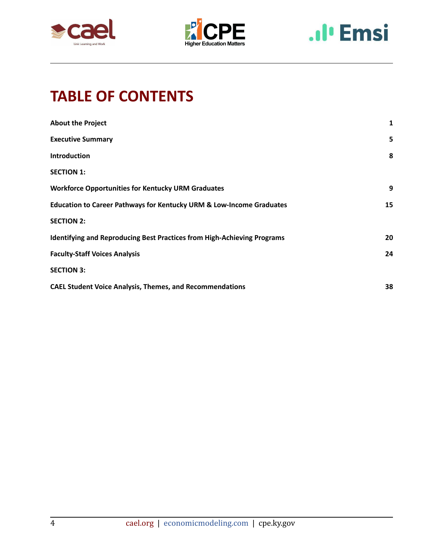





## **TABLE OF CONTENTS**

| <b>About the Project</b>                                                        | 1  |
|---------------------------------------------------------------------------------|----|
| <b>Executive Summary</b>                                                        | 5  |
| <b>Introduction</b>                                                             | 8  |
| <b>SECTION 1:</b>                                                               |    |
| <b>Workforce Opportunities for Kentucky URM Graduates</b>                       | 9  |
| <b>Education to Career Pathways for Kentucky URM &amp; Low-Income Graduates</b> | 15 |
| <b>SECTION 2:</b>                                                               |    |
| <b>Identifying and Reproducing Best Practices from High-Achieving Programs</b>  | 20 |
| <b>Faculty-Staff Voices Analysis</b>                                            | 24 |
| <b>SECTION 3:</b>                                                               |    |
| <b>CAEL Student Voice Analysis, Themes, and Recommendations</b>                 | 38 |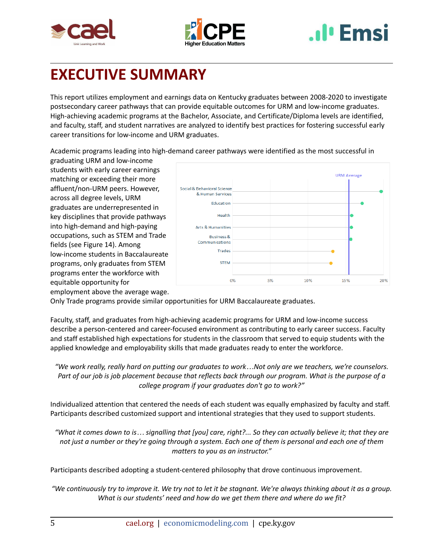





## <span id="page-5-0"></span>**EXECUTIVE SUMMARY**

This report utilizes employment and earnings data on Kentucky graduates between 2008-2020 to investigate postsecondary career pathways that can provide equitable outcomes for URM and low-income graduates. High-achieving academic programs at the Bachelor, Associate, and Certificate/Diploma levels are identified, and faculty, staff, and student narratives are analyzed to identify best practices for fostering successful early career transitions for low-income and URM graduates.

Academic programs leading into high-demand career pathways were identified as the most successful in

graduating URM and low-income students with early career earnings matching or exceeding their more affluent/non-URM peers. However, across all degree levels, URM graduates are underrepresented in key disciplines that provide pathways into high-demand and high-paying occupations, such as STEM and Trade fields (see Figure 14). Among low-income students in Baccalaureate programs, only graduates from STEM programs enter the workforce with equitable opportunity for employment above the average wage.



Only Trade programs provide similar opportunities for URM Baccalaureate graduates.

Faculty, staff, and graduates from high-achieving academic programs for URM and low-income success describe a person-centered and career-focused environment as contributing to early career success. Faculty and staff established high expectations for students in the classroom that served to equip students with the applied knowledge and employability skills that made graduates ready to enter the workforce.

"We work really, really hard on putting our graduates to work...Not only are we teachers, we're counselors. Part of our job is job placement because that reflects back through our program. What is the purpose of a *college program if your graduates don't go to work?"*

Individualized attention that centered the needs of each student was equally emphasized by faculty and staff. Participants described customized support and intentional strategies that they used to support students.

"What it comes down to is... signalling that [you] care, right?... So they can actually believe it; that they are not just a number or they're going through a system. Each one of them is personal and each one of them *matters to you as an instructor."*

Participants described adopting a student-centered philosophy that drove continuous improvement.

"We continuously try to improve it. We try not to let it be stagnant. We're always thinking about it as a group. *What is our students' need and how do we get them there and where do we fit?*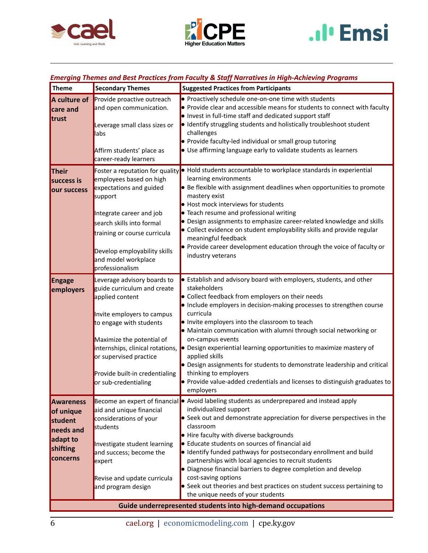





## *Emerging Themes and Best Practices from Faculty & Staff Narratives in High-Achieving Programs*

| Theme                                                                              | <b>Secondary Themes</b>                                                                                                                                                                                                                                                                     | <b>Suggested Practices from Participants</b>                                                                                                                                                                                                                                                                                                                                                                                                                                                                                                                                                                                                                           |  |
|------------------------------------------------------------------------------------|---------------------------------------------------------------------------------------------------------------------------------------------------------------------------------------------------------------------------------------------------------------------------------------------|------------------------------------------------------------------------------------------------------------------------------------------------------------------------------------------------------------------------------------------------------------------------------------------------------------------------------------------------------------------------------------------------------------------------------------------------------------------------------------------------------------------------------------------------------------------------------------------------------------------------------------------------------------------------|--|
| A culture of<br>care and<br>trust                                                  | Provide proactive outreach<br>and open communication.<br>Leverage small class sizes or<br>labs<br>Affirm students' place as<br>career-ready learners                                                                                                                                        | • Proactively schedule one-on-one time with students<br>• Provide clear and accessible means for students to connect with faculty<br>. Invest in full-time staff and dedicated support staff<br>· Identify struggling students and holistically troubleshoot student<br>challenges<br>Provide faculty-led individual or small group tutoring<br>• Use affirming language early to validate students as learners                                                                                                                                                                                                                                                        |  |
| <b>Their</b><br>success is<br>our success                                          | employees based on high<br>expectations and guided<br>support<br>Integrate career and job<br>search skills into formal<br>training or course curricula<br>Develop employability skills<br>and model workplace<br>professionalism                                                            | Foster a reputation for quality • Hold students accountable to workplace standards in experiential<br>learning environments<br>Be flexible with assignment deadlines when opportunities to promote<br>mastery exist<br>• Host mock interviews for students<br>• Teach resume and professional writing<br>• Design assignments to emphasize career-related knowledge and skills<br>• Collect evidence on student employability skills and provide regular<br>meaningful feedback<br>• Provide career development education through the voice of faculty or<br>industry veterans                                                                                         |  |
| <b>Engage</b><br>employers                                                         | Leverage advisory boards to<br>guide curriculum and create<br>applied content<br>Invite employers to campus<br>to engage with students<br>Maximize the potential of<br>internships, clinical rotations,<br>or supervised practice<br>Provide built-in credentialing<br>or sub-credentialing | $\bullet$ Establish and advisory board with employers, students, and other<br>stakeholders<br>• Collect feedback from employers on their needs<br>• Include employers in decision-making processes to strengthen course<br>curricula<br>. Invite employers into the classroom to teach<br>• Maintain communication with alumni through social networking or<br>on-campus events<br>• Design experiential learning opportunities to maximize mastery of<br>applied skills<br>Design assignments for students to demonstrate leadership and critical<br>thinking to employers<br>• Provide value-added credentials and licenses to distinguish graduates to<br>employers |  |
| Awareness<br>of unique<br>student<br>needs and<br>adapt to<br>shifting<br>concerns | aid and unique financial<br>considerations of your<br>students<br>Investigate student learning<br>and success; become the<br>expert<br>Revise and update curricula<br>and program design                                                                                                    | Become an expert of financial • Avoid labeling students as underprepared and instead apply<br>individualized support<br>Seek out and demonstrate appreciation for diverse perspectives in the<br>classroom<br>• Hire faculty with diverse backgrounds<br>• Educate students on sources of financial aid<br>· Identify funded pathways for postsecondary enrollment and build<br>partnerships with local agencies to recruit students<br>• Diagnose financial barriers to degree completion and develop<br>cost-saving options<br>• Seek out theories and best practices on student success pertaining to<br>the unique needs of your students                          |  |
| Guide underrepresented students into high-demand occupations                       |                                                                                                                                                                                                                                                                                             |                                                                                                                                                                                                                                                                                                                                                                                                                                                                                                                                                                                                                                                                        |  |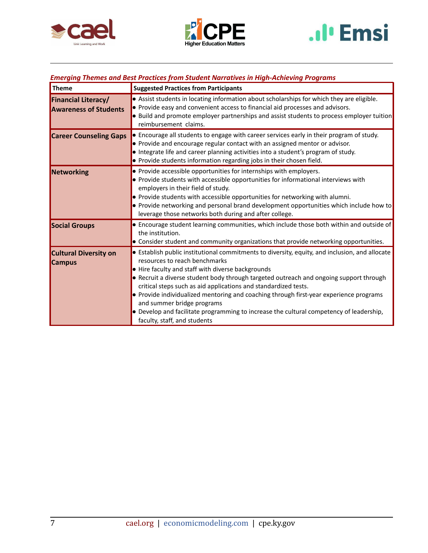





## *Emerging Themes and Best Practices from Student Narratives in High-Achieving Programs*

| <b>Theme</b>                                               | <b>Suggested Practices from Participants</b>                                                                                                                                                                                                                                                                                                                                                                                                                                                                                                                                                         |
|------------------------------------------------------------|------------------------------------------------------------------------------------------------------------------------------------------------------------------------------------------------------------------------------------------------------------------------------------------------------------------------------------------------------------------------------------------------------------------------------------------------------------------------------------------------------------------------------------------------------------------------------------------------------|
| <b>Financial Literacy/</b><br><b>Awareness of Students</b> | . Assist students in locating information about scholarships for which they are eligible.<br>• Provide easy and convenient access to financial aid processes and advisors.<br>$\bullet$ Build and promote employer partnerships and assist students to process employer tuition<br>reimbursement claims.                                                                                                                                                                                                                                                                                             |
| <b>Career Counseling Gaps</b>                              | • Encourage all students to engage with career services early in their program of study.<br>• Provide and encourage regular contact with an assigned mentor or advisor.<br>• Integrate life and career planning activities into a student's program of study.<br>• Provide students information regarding jobs in their chosen field.                                                                                                                                                                                                                                                                |
| Networking                                                 | • Provide accessible opportunities for internships with employers.<br>• Provide students with accessible opportunities for informational interviews with<br>employers in their field of study.<br>• Provide students with accessible opportunities for networking with alumni.<br>• Provide networking and personal brand development opportunities which include how to<br>leverage those networks both during and after college.                                                                                                                                                                   |
| <b>Social Groups</b>                                       | • Encourage student learning communities, which include those both within and outside of<br>the institution.<br>• Consider student and community organizations that provide networking opportunities.                                                                                                                                                                                                                                                                                                                                                                                                |
| <b>Cultural Diversity on</b><br><b>Campus</b>              | • Establish public institutional commitments to diversity, equity, and inclusion, and allocate<br>resources to reach benchmarks<br>• Hire faculty and staff with diverse backgrounds<br>• Recruit a diverse student body through targeted outreach and ongoing support through<br>critical steps such as aid applications and standardized tests.<br>• Provide individualized mentoring and coaching through first-year experience programs<br>and summer bridge programs<br>• Develop and facilitate programming to increase the cultural competency of leadership,<br>faculty, staff, and students |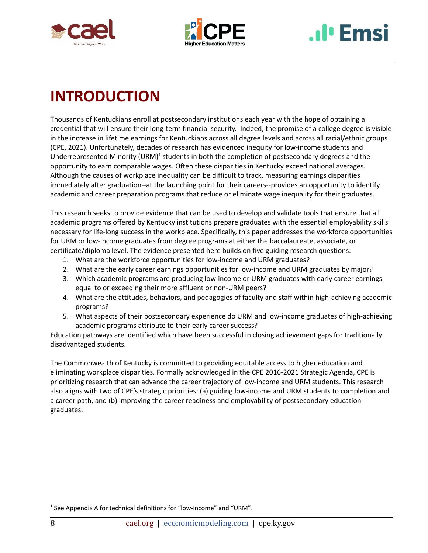



# **I**<sup>I</sup> Emsi

## <span id="page-8-0"></span>**INTRODUCTION**

Thousands of Kentuckians enroll at postsecondary institutions each year with the hope of obtaining a credential that will ensure their long-term financial security. Indeed, the promise of a college degree is visible in the increase in lifetime earnings for Kentuckians across all degree levels and across all racial/ethnic groups (CPE, 2021). Unfortunately, decades of research has evidenced inequity for low-income students and Underrepresented Minority (URM)<sup>1</sup> students in both the completion of postsecondary degrees and the opportunity to earn comparable wages. Often these disparities in Kentucky exceed national averages. Although the causes of workplace inequality can be difficult to track, measuring earnings disparities immediately after graduation--at the launching point for their careers--provides an opportunity to identify academic and career preparation programs that reduce or eliminate wage inequality for their graduates.

This research seeks to provide evidence that can be used to develop and validate tools that ensure that all academic programs offered by Kentucky institutions prepare graduates with the essential employability skills necessary for life-long success in the workplace. Specifically, this paper addresses the workforce opportunities for URM or low-income graduates from degree programs at either the baccalaureate, associate, or certificate/diploma level. The evidence presented here builds on five guiding research questions:

- 1. What are the workforce opportunities for low-income and URM graduates?
- 2. What are the early career earnings opportunities for low-income and URM graduates by major?
- 3. Which academic programs are producing low-income or URM graduates with early career earnings equal to or exceeding their more affluent or non-URM peers?
- 4. What are the attitudes, behaviors, and pedagogies of faculty and staff within high-achieving academic programs?
- 5. What aspects of their postsecondary experience do URM and low-income graduates of high-achieving academic programs attribute to their early career success?

Education pathways are identified which have been successful in closing achievement gaps for traditionally disadvantaged students.

The Commonwealth of Kentucky is committed to providing equitable access to higher education and eliminating workplace disparities. Formally acknowledged in the CPE 2016-2021 Strategic Agenda, CPE is prioritizing research that can advance the career trajectory of low-income and URM students. This research also aligns with two of CPE's strategic priorities: (a) guiding low-income and URM students to completion and a career path, and (b) improving the career readiness and employability of postsecondary education graduates.

 $1$  See Appendix A for technical definitions for "low-income" and "URM".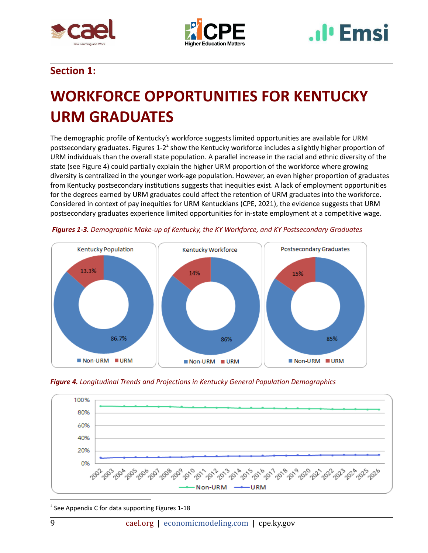





## **Section 1:**

## <span id="page-9-0"></span>**WORKFORCE OPPORTUNITIES FOR KENTUCKY URM GRADUATES**

The demographic profile of Kentucky's workforce suggests limited opportunities are available for URM postsecondary graduates. Figures 1-2<sup>2</sup> show the Kentucky workforce includes a slightly higher proportion of URM individuals than the overall state population. A parallel increase in the racial and ethnic diversity of the state (see Figure 4) could partially explain the higher URM proportion of the workforce where growing diversity is centralized in the younger work-age population. However, an even higher proportion of graduates from Kentucky postsecondary institutions suggests that inequities exist. A lack of employment opportunities for the degrees earned by URM graduates could affect the retention of URM graduates into the workforce. Considered in context of pay inequities for URM Kentuckians (CPE, 2021), the evidence suggests that URM postsecondary graduates experience limited opportunities for in-state employment at a competitive wage.









 $2$  See Appendix C for data supporting Figures 1-18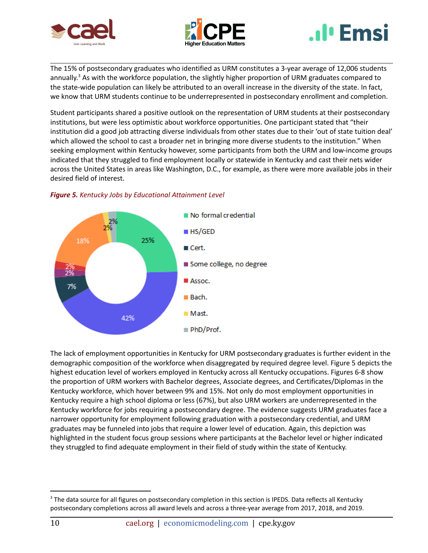





The 15% of postsecondary graduates who identified as URM constitutes a 3-year average of 12,006 students annually.<sup>3</sup> As with the workforce population, the slightly higher proportion of URM graduates compared to the state-wide population can likely be attributed to an overall increase in the diversity of the state. In fact, we know that URM students continue to be underrepresented in postsecondary enrollment and completion.

Student participants shared a positive outlook on the representation of URM students at their postsecondary institutions, but were less optimistic about workforce opportunities. One participant stated that "their institution did a good job attracting diverse individuals from other states due to their 'out of state tuition deal' which allowed the school to cast a broader net in bringing more diverse students to the institution." When seeking employment within Kentucky however, some participants from both the URM and low-income groups indicated that they struggled to find employment locally or statewide in Kentucky and cast their nets wider across the United States in areas like Washington, D.C., for example, as there were more available jobs in their desired field of interest.



## *Figure 5. Kentucky Jobs by Educational Attainment Level*

The lack of employment opportunities in Kentucky for URM postsecondary graduates is further evident in the demographic composition of the workforce when disaggregated by required degree level. Figure 5 depicts the highest education level of workers employed in Kentucky across all Kentucky occupations. Figures 6-8 show the proportion of URM workers with Bachelor degrees, Associate degrees, and Certificates/Diplomas in the Kentucky workforce, which hover between 9% and 15%. Not only do most employment opportunities in Kentucky require a high school diploma or less (67%), but also URM workers are underrepresented in the Kentucky workforce for jobs requiring a postsecondary degree. The evidence suggests URM graduates face a narrower opportunity for employment following graduation with a postsecondary credential, and URM graduates may be funneled into jobs that require a lower level of education. Again, this depiction was highlighted in the student focus group sessions where participants at the Bachelor level or higher indicated they struggled to find adequate employment in their field of study within the state of Kentucky.

<sup>&</sup>lt;sup>3</sup> The data source for all figures on postsecondary completion in this section is IPEDS. Data reflects all Kentucky postsecondary completions across all award levels and across a three-year average from 2017, 2018, and 2019.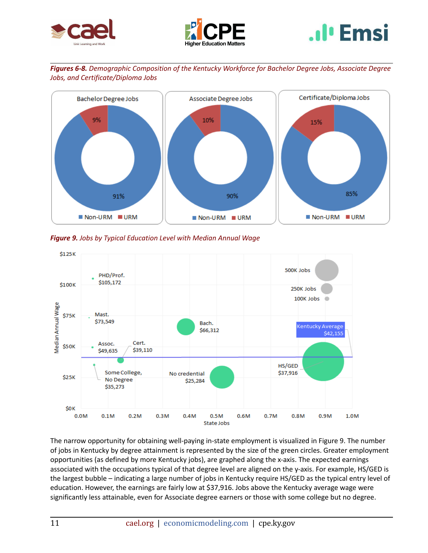





*Figures 6-8. Demographic Composition of the Kentucky Workforce for Bachelor Degree Jobs, Associate Degree Jobs, and Certificate/Diploma Jobs*



*Figure 9. Jobs by Typical Education Level with Median Annual Wage*



The narrow opportunity for obtaining well-paying in-state employment is visualized in Figure 9. The number of jobs in Kentucky by degree attainment is represented by the size of the green circles. Greater employment opportunities (as defined by more Kentucky jobs), are graphed along the x-axis. The expected earnings associated with the occupations typical of that degree level are aligned on the y-axis. For example, HS/GED is the largest bubble – indicating a large number of jobs in Kentucky require HS/GED as the typical entry level of education. However, the earnings are fairly low at \$37,916. Jobs above the Kentucky average wage were significantly less attainable, even for Associate degree earners or those with some college but no degree.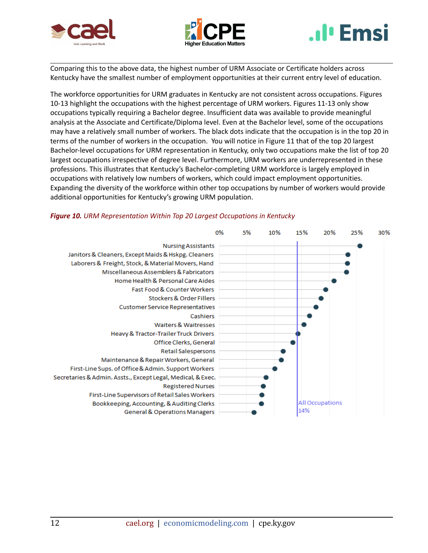





Comparing this to the above data, the highest number of URM Associate or Certificate holders across Kentucky have the smallest number of employment opportunities at their current entry level of education.

The workforce opportunities for URM graduates in Kentucky are not consistent across occupations. Figures 10-13 highlight the occupations with the highest percentage of URM workers. Figures 11-13 only show occupations typically requiring a Bachelor degree. Insufficient data was available to provide meaningful analysis at the Associate and Certificate/Diploma level. Even at the Bachelor level, some of the occupations may have a relatively small number of workers. The black dots indicate that the occupation is in the top 20 in terms of the number of workers in the occupation. You will notice in Figure 11 that of the top 20 largest Bachelor-level occupations for URM representation in Kentucky, only two occupations make the list of top 20 largest occupations irrespective of degree level. Furthermore, URM workers are underrepresented in these professions. This illustrates that Kentucky's Bachelor-completing URM workforce is largely employed in occupations with relatively low numbers of workers, which could impact employment opportunities. Expanding the diversity of the workforce within other top occupations by number of workers would provide additional opportunities for Kentucky's growing URM population.



#### *Figure 10. URM Representation Within Top 20 Largest Occupations in Kentucky*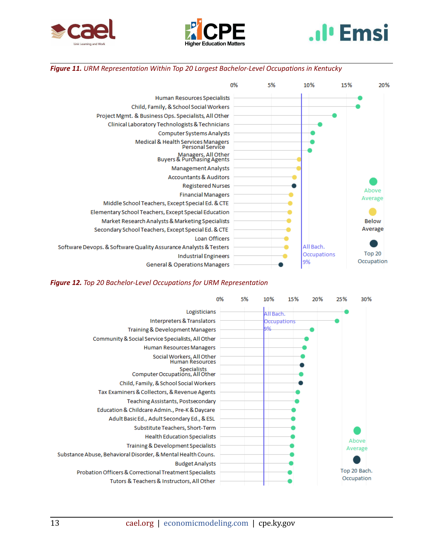





#### *Figure 11. URM Representation Within Top 20 Largest Bachelor-Level Occupations in Kentucky*



#### *Figure 12. Top 20 Bachelor-Level Occupations for URM Representation*

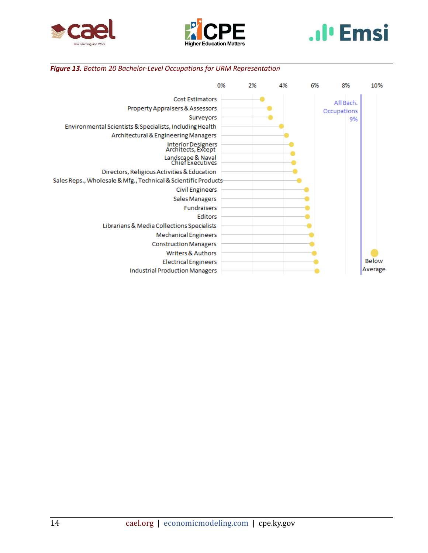





## *Figure 13. Bottom 20 Bachelor-Level Occupations for URM Representation*

|                                                                | 0% | 2% | 4% | 6% | 8%          | 10%          |
|----------------------------------------------------------------|----|----|----|----|-------------|--------------|
| <b>Cost Estimators</b>                                         |    |    |    |    | All Bach.   |              |
| Property Appraisers & Assessors                                |    |    |    |    | Occupations |              |
| Surveyors                                                      |    |    |    |    | 9%          |              |
| Environmental Scientists & Specialists, Including Health       |    |    |    |    |             |              |
| Architectural & Engineering Managers                           |    |    |    |    |             |              |
| Interior Designers<br>Architects, Except                       |    |    |    |    |             |              |
| Landscape & Naval<br>Chief Executives                          |    |    |    |    |             |              |
| Directors, Religious Activities & Education                    |    |    |    |    |             |              |
| Sales Reps., Wholesale & Mfg., Technical & Scientific Products |    |    |    |    |             |              |
| <b>Civil Engineers</b>                                         |    |    |    |    |             |              |
| Sales Managers                                                 |    |    |    |    |             |              |
| <b>Fundraisers</b>                                             |    |    |    |    |             |              |
| Editors                                                        |    |    |    |    |             |              |
| Librarians & Media Collections Specialists                     |    |    |    |    |             |              |
| <b>Mechanical Engineers</b>                                    |    |    |    |    |             |              |
| <b>Construction Managers</b>                                   |    |    |    |    |             |              |
| <b>Writers &amp; Authors</b>                                   |    |    |    |    |             |              |
| <b>Electrical Engineers</b>                                    |    |    |    |    |             | <b>Below</b> |
| <b>Industrial Production Managers</b>                          |    |    |    |    |             | Average      |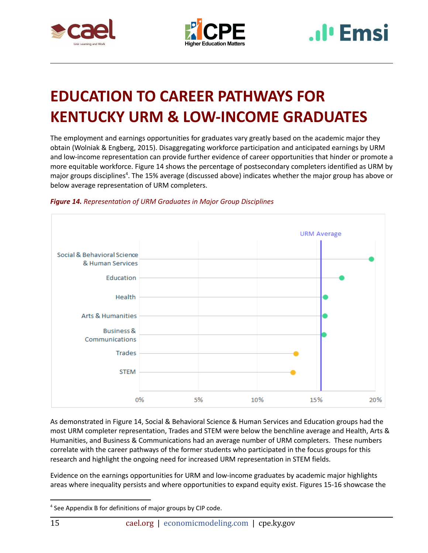





## <span id="page-15-0"></span>**EDUCATION TO CAREER PATHWAYS FOR KENTUCKY URM & LOW-INCOME GRADUATES**

The employment and earnings opportunities for graduates vary greatly based on the academic major they obtain (Wolniak & Engberg, 2015). Disaggregating workforce participation and anticipated earnings by URM and low-income representation can provide further evidence of career opportunities that hinder or promote a more equitable workforce. Figure 14 shows the percentage of postsecondary completers identified as URM by major groups disciplines<sup>4</sup>. The 15% average (discussed above) indicates whether the major group has above or below average representation of URM completers.





As demonstrated in Figure 14, Social & Behavioral Science & Human Services and Education groups had the most URM completer representation, Trades and STEM were below the benchline average and Health, Arts & Humanities, and Business & Communications had an average number of URM completers. These numbers correlate with the career pathways of the former students who participated in the focus groups for this research and highlight the ongoing need for increased URM representation in STEM fields.

Evidence on the earnings opportunities for URM and low-income graduates by academic major highlights areas where inequality persists and where opportunities to expand equity exist. Figures 15-16 showcase the

<sup>4</sup> See Appendix B for definitions of major groups by CIP code.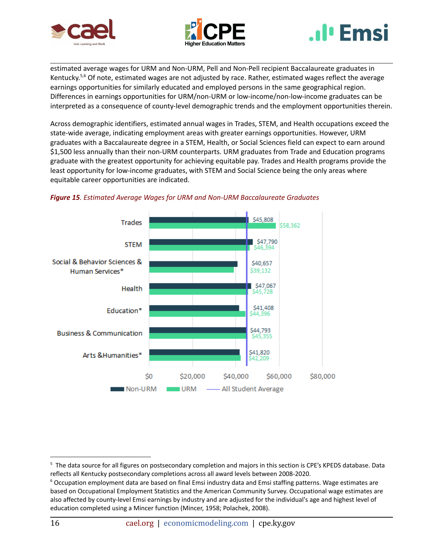





estimated average wages for URM and Non-URM, Pell and Non-Pell recipient Baccalaureate graduates in Kentucky.<sup>5,6</sup> Of note, estimated wages are not adjusted by race. Rather, estimated wages reflect the average earnings opportunities for similarly educated and employed persons in the same geographical region. Differences in earnings opportunities for URM/non-URM or low-income/non-low-income graduates can be interpreted as a consequence of county-level demographic trends and the employment opportunities therein.

Across demographic identifiers, estimated annual wages in Trades, STEM, and Health occupations exceed the state-wide average, indicating employment areas with greater earnings opportunities. However, URM graduates with a Baccalaureate degree in a STEM, Health, or Social Sciences field can expect to earn around \$1,500 less annually than their non-URM counterparts. URM graduates from Trade and Education programs graduate with the greatest opportunity for achieving equitable pay. Trades and Health programs provide the least opportunity for low-income graduates, with STEM and Social Science being the only areas where equitable career opportunities are indicated.



### *Figure 15. Estimated Average Wages for URM and Non-URM Baccalaureate Graduates*

<sup>&</sup>lt;sup>5</sup> The data source for all figures on postsecondary completion and majors in this section is CPE's KPEDS database. Data reflects all Kentucky postsecondary completions across all award levels between 2008-2020.

<sup>6</sup> Occupation employment data are based on final Emsi industry data and Emsi staffing patterns. Wage estimates are based on Occupational Employment Statistics and the American Community Survey. Occupational wage estimates are also affected by county-level Emsi earnings by industry and are adjusted for the individual's age and highest level of education completed using a Mincer function (Mincer, 1958; Polachek, 2008).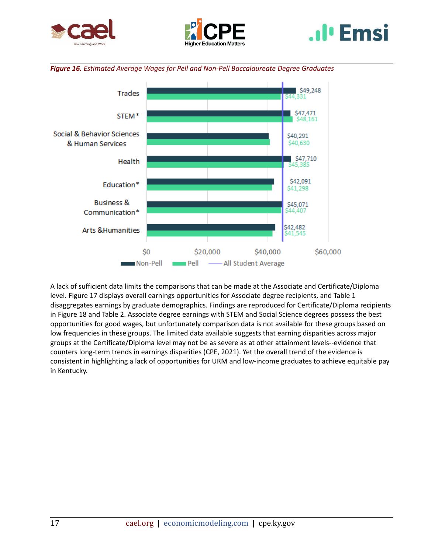









A lack of sufficient data limits the comparisons that can be made at the Associate and Certificate/Diploma level. Figure 17 displays overall earnings opportunities for Associate degree recipients, and Table 1 disaggregates earnings by graduate demographics. Findings are reproduced for Certificate/Diploma recipients in Figure 18 and Table 2. Associate degree earnings with STEM and Social Science degrees possess the best opportunities for good wages, but unfortunately comparison data is not available for these groups based on low frequencies in these groups. The limited data available suggests that earning disparities across major groups at the Certificate/Diploma level may not be as severe as at other attainment levels--evidence that counters long-term trends in earnings disparities (CPE, 2021). Yet the overall trend of the evidence is consistent in highlighting a lack of opportunities for URM and low-income graduates to achieve equitable pay in Kentucky.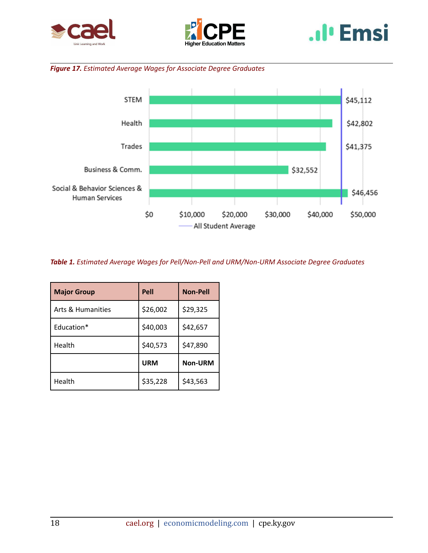





## *Figure 17. Estimated Average Wages for Associate Degree Graduates*



*Table 1. Estimated Average Wages for Pell/Non-Pell and URM/Non-URM Associate Degree Graduates*

| <b>Major Group</b> | Pell       | <b>Non-Pell</b> |
|--------------------|------------|-----------------|
| Arts & Humanities  | \$26,002   | \$29,325        |
| Education*         | \$40,003   | \$42,657        |
| Health             | \$40,573   | \$47,890        |
|                    | <b>URM</b> | <b>Non-URM</b>  |
| Health             | \$35,228   | \$43,563        |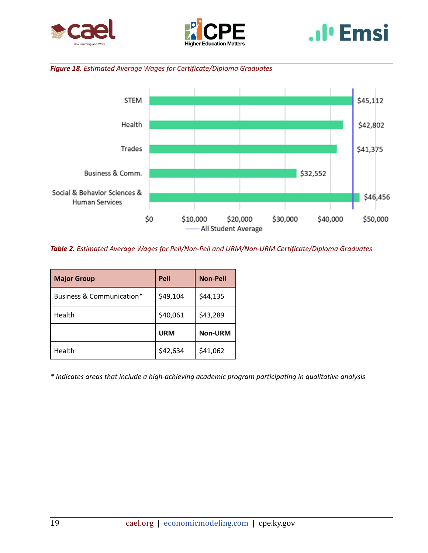





## *Figure 18. Estimated Average Wages for Certificate/Diploma Graduates*



*Table 2. Estimated Average Wages for Pell/Non-Pell and URM/Non-URM Certificate/Diploma Graduates*

| <b>Major Group</b>        | Pell       | <b>Non-Pell</b> |
|---------------------------|------------|-----------------|
| Business & Communication* | \$49,104   | \$44,135        |
| Health                    | \$40,061   | \$43,289        |
|                           | <b>URM</b> | <b>Non-URM</b>  |
| Health                    | \$42,634   | \$41,062        |

*\* Indicates areas that include a high-achieving academic program participating in qualitative analysis*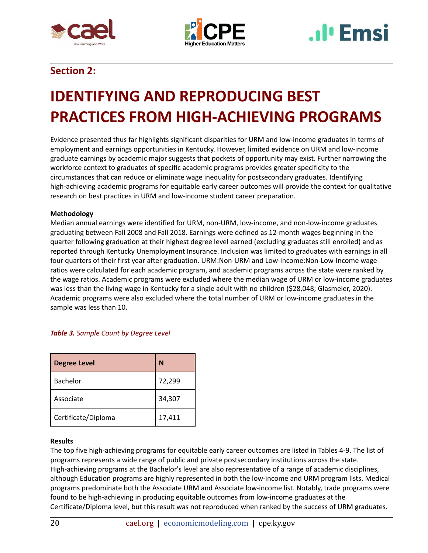





## **Section 2:**

## <span id="page-20-0"></span>**IDENTIFYING AND REPRODUCING BEST PRACTICES FROM HIGH-ACHIEVING PROGRAMS**

Evidence presented thus far highlights significant disparities for URM and low-income graduates in terms of employment and earnings opportunities in Kentucky. However, limited evidence on URM and low-income graduate earnings by academic major suggests that pockets of opportunity may exist. Further narrowing the workforce context to graduates of specific academic programs provides greater specificity to the circumstances that can reduce or eliminate wage inequality for postsecondary graduates. Identifying high-achieving academic programs for equitable early career outcomes will provide the context for qualitative research on best practices in URM and low-income student career preparation.

### **Methodology**

Median annual earnings were identified for URM, non-URM, low-income, and non-low-income graduates graduating between Fall 2008 and Fall 2018. Earnings were defined as 12-month wages beginning in the quarter following graduation at their highest degree level earned (excluding graduates still enrolled) and as reported through Kentucky Unemployment Insurance. Inclusion was limited to graduates with earnings in all four quarters of their first year after graduation. URM:Non-URM and Low-Income:Non-Low-Income wage ratios were calculated for each academic program, and academic programs across the state were ranked by the wage ratios. Academic programs were excluded where the median wage of URM or low-income graduates was less than the living-wage in Kentucky for a single adult with no children (\$28,048; Glasmeier, 2020). Academic programs were also excluded where the total number of URM or low-income graduates in the sample was less than 10.

| Table 3. Sample Count by Degree Level |  |  |  |
|---------------------------------------|--|--|--|
|---------------------------------------|--|--|--|

| <b>Degree Level</b> | N      |
|---------------------|--------|
| Bachelor            | 72,299 |
| Associate           | 34,307 |
| Certificate/Diploma | 17,411 |

### **Results**

The top five high-achieving programs for equitable early career outcomes are listed in Tables 4-9. The list of programs represents a wide range of public and private postsecondary institutions across the state. High-achieving programs at the Bachelor's level are also representative of a range of academic disciplines, although Education programs are highly represented in both the low-income and URM program lists. Medical programs predominate both the Associate URM and Associate low-income list. Notably, trade programs were found to be high-achieving in producing equitable outcomes from low-income graduates at the Certificate/Diploma level, but this result was not reproduced when ranked by the success of URM graduates.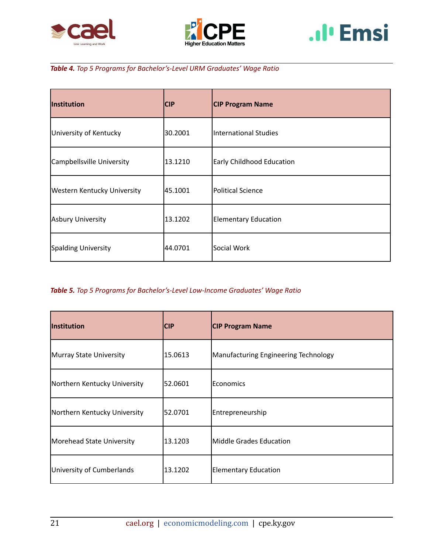





## *Table 4. Top 5 Programs for Bachelor's-Level URM Graduates' Wage Ratio*

| Institution                        | <b>CIP</b> | <b>CIP Program Name</b>          |  |
|------------------------------------|------------|----------------------------------|--|
| University of Kentucky             | 30.2001    | International Studies            |  |
| Campbellsville University          | 13.1210    | <b>Early Childhood Education</b> |  |
| <b>Western Kentucky University</b> | 45.1001    | <b>Political Science</b>         |  |
| Asbury University                  | 13.1202    | <b>Elementary Education</b>      |  |
| Spalding University                | 44.0701    | Social Work                      |  |

## *Table 5. Top 5 Programs for Bachelor's-Level Low-Income Graduates' Wage Ratio*

| <b>Institution</b>           | <b>CIP</b> | <b>CIP Program Name</b>              |
|------------------------------|------------|--------------------------------------|
| Murray State University      | 15.0613    | Manufacturing Engineering Technology |
| Northern Kentucky University | 52.0601    | <b>Economics</b>                     |
| Northern Kentucky University | 52.0701    | Entrepreneurship                     |
| Morehead State University    | 13.1203    | Middle Grades Education              |
| University of Cumberlands    | 13.1202    | <b>Elementary Education</b>          |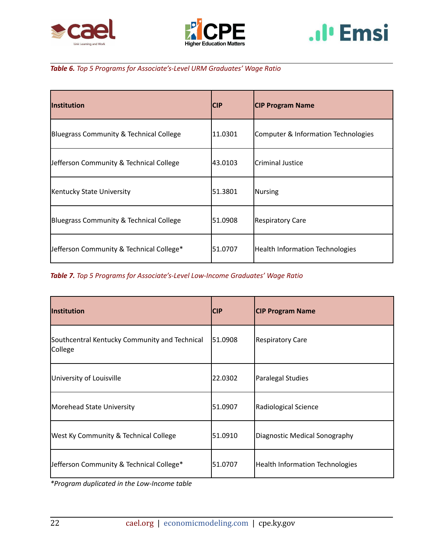





## *Table 6. Top 5 Programs for Associate's-Level URM Graduates' Wage Ratio*

| Institution                              | <b>CIP</b> | <b>CIP Program Name</b>                |
|------------------------------------------|------------|----------------------------------------|
| Bluegrass Community & Technical College  | 11.0301    | Computer & Information Technologies    |
| Jefferson Community & Technical College  | 43.0103    | lCriminal Justice                      |
| Kentucky State University                | 51.3801    | Nursing                                |
| Bluegrass Community & Technical College  | 51.0908    | <b>Respiratory Care</b>                |
| Jefferson Community & Technical College* | 51.0707    | <b>Health Information Technologies</b> |

*Table 7. Top 5 Programs for Associate's-Level Low-Income Graduates' Wage Ratio*

| Institution                                              | <b>CIP</b> | <b>CIP Program Name</b>                |
|----------------------------------------------------------|------------|----------------------------------------|
| Southcentral Kentucky Community and Technical<br>College | 51.0908    | <b>Respiratory Care</b>                |
| University of Louisville                                 | 22.0302    | Paralegal Studies                      |
| Morehead State University                                | 51.0907    | Radiological Science                   |
| <b>West Ky Community &amp; Technical College</b>         | 51.0910    | Diagnostic Medical Sonography          |
| Jefferson Community & Technical College*                 | 51.0707    | <b>Health Information Technologies</b> |

*\*Program duplicated in the Low-Income table*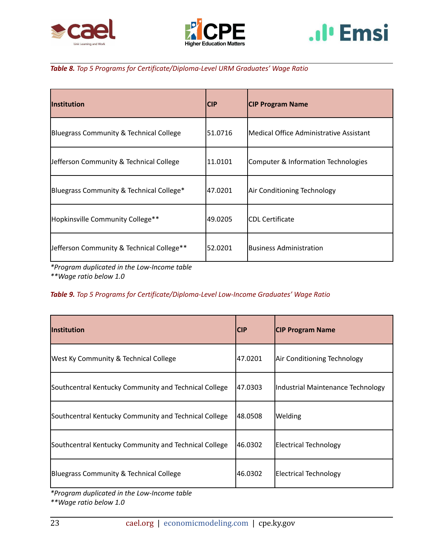





*Table 8. Top 5 Programs for Certificate/Diploma-Level URM Graduates' Wage Ratio*

| <b>Institution</b>                        | <b>CIP</b> | <b>CIP Program Name</b>                 |
|-------------------------------------------|------------|-----------------------------------------|
| Bluegrass Community & Technical College   | 51.0716    | Medical Office Administrative Assistant |
| Jefferson Community & Technical College   | 11.0101    | Computer & Information Technologies     |
| Bluegrass Community & Technical College*  | 47.0201    | Air Conditioning Technology             |
| Hopkinsville Community College**          | 49.0205    | <b>CDL Certificate</b>                  |
| Jefferson Community & Technical College** | 52.0201    | <b>IBusiness Administration</b>         |

*\*Program duplicated in the Low-Income table \*\*Wage ratio below 1.0*

## *Table 9. Top 5 Programs for Certificate/Diploma-Level Low-Income Graduates' Wage Ratio*

| <b>Institution</b>                                    | <b>CIP</b> | <b>CIP Program Name</b>           |
|-------------------------------------------------------|------------|-----------------------------------|
| <b>West Ky Community &amp; Technical College</b>      | 47.0201    | Air Conditioning Technology       |
| Southcentral Kentucky Community and Technical College | 47.0303    | Industrial Maintenance Technology |
| Southcentral Kentucky Community and Technical College | 48.0508    | Welding                           |
| Southcentral Kentucky Community and Technical College | 46.0302    | <b>Electrical Technology</b>      |
| Bluegrass Community & Technical College               | 46.0302    | <b>Electrical Technology</b>      |

*\*Program duplicated in the Low-Income table \*\*Wage ratio below 1.0*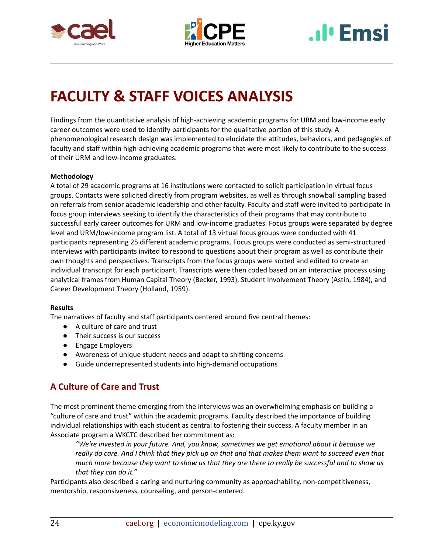



# **I**<sup>I</sup> Emsi

## <span id="page-24-0"></span>**FACULTY & STAFF VOICES ANALYSIS**

Findings from the quantitative analysis of high-achieving academic programs for URM and low-income early career outcomes were used to identify participants for the qualitative portion of this study. A phenomenological research design was implemented to elucidate the attitudes, behaviors, and pedagogies of faculty and staff within high-achieving academic programs that were most likely to contribute to the success of their URM and low-income graduates.

## **Methodology**

A total of 29 academic programs at 16 institutions were contacted to solicit participation in virtual focus groups. Contacts were solicited directly from program websites, as well as through snowball sampling based on referrals from senior academic leadership and other faculty. Faculty and staff were invited to participate in focus group interviews seeking to identify the characteristics of their programs that may contribute to successful early career outcomes for URM and low-income graduates. Focus groups were separated by degree level and URM/low-income program list. A total of 13 virtual focus groups were conducted with 41 participants representing 25 different academic programs. Focus groups were conducted as semi-structured interviews with participants invited to respond to questions about their program as well as contribute their own thoughts and perspectives. Transcripts from the focus groups were sorted and edited to create an individual transcript for each participant. Transcripts were then coded based on an interactive process using analytical frames from Human Capital Theory (Becker, 1993), Student Involvement Theory (Astin, 1984), and Career Development Theory (Holland, 1959).

### **Results**

The narratives of faculty and staff participants centered around five central themes:

- A culture of care and trust
- Their success is our success
- Engage Employers
- Awareness of unique student needs and adapt to shifting concerns
- Guide underrepresented students into high-demand occupations

## **A Culture of Care and Trust**

The most prominent theme emerging from the interviews was an overwhelming emphasis on building a "culture of care and trust" within the academic programs. Faculty described the importance of building individual relationships with each student as central to fostering their success. A faculty member in an Associate program a WKCTC described her commitment as:

*"We're invested in your future. And, you know, sometimes we get emotional about it because we* really do care. And I think that they pick up on that and that makes them want to succeed even that much more because they want to show us that they are there to really be successful and to show us *that they can do it."*

Participants also described a caring and nurturing community as approachability, non-competitiveness, mentorship, responsiveness, counseling, and person-centered.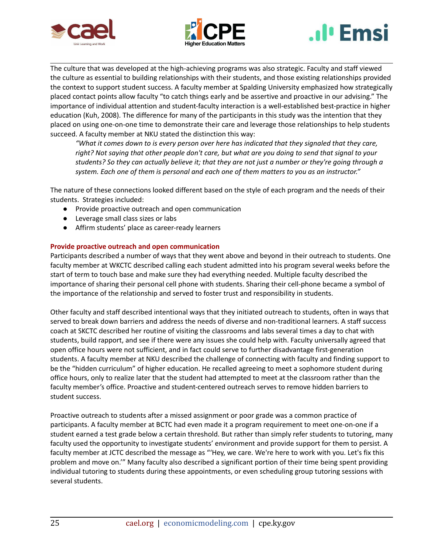





The culture that was developed at the high-achieving programs was also strategic. Faculty and staff viewed the culture as essential to building relationships with their students, and those existing relationships provided the context to support student success. A faculty member at Spalding University emphasized how strategically placed contact points allow faculty "to catch things early and be assertive and proactive in our advising." The importance of individual attention and student-faculty interaction is a well-established best-practice in higher education (Kuh, 2008). The difference for many of the participants in this study was the intention that they placed on using one-on-one time to demonstrate their care and leverage those relationships to help students succeed. A faculty member at NKU stated the distinction this way:

*"What it comes down to is every person over here has indicated that they signaled that they care,* right? Not saying that other people don't care, but what are you doing to send that signal to your students? So they can actually believe it; that they are not just a number or they're going through a *system. Each one of them is personal and each one of them matters to you as an instructor."*

The nature of these connections looked different based on the style of each program and the needs of their students. Strategies included:

- Provide proactive outreach and open communication
- Leverage small class sizes or labs
- Affirm students' place as career-ready learners

#### **Provide proactive outreach and open communication**

Participants described a number of ways that they went above and beyond in their outreach to students. One faculty member at WKCTC described calling each student admitted into his program several weeks before the start of term to touch base and make sure they had everything needed. Multiple faculty described the importance of sharing their personal cell phone with students. Sharing their cell-phone became a symbol of the importance of the relationship and served to foster trust and responsibility in students.

Other faculty and staff described intentional ways that they initiated outreach to students, often in ways that served to break down barriers and address the needs of diverse and non-traditional learners. A staff success coach at SKCTC described her routine of visiting the classrooms and labs several times a day to chat with students, build rapport, and see if there were any issues she could help with. Faculty universally agreed that open office hours were not sufficient, and in fact could serve to further disadvantage first-generation students. A faculty member at NKU described the challenge of connecting with faculty and finding support to be the "hidden curriculum" of higher education. He recalled agreeing to meet a sophomore student during office hours, only to realize later that the student had attempted to meet at the classroom rather than the faculty member's office. Proactive and student-centered outreach serves to remove hidden barriers to student success.

Proactive outreach to students after a missed assignment or poor grade was a common practice of participants. A faculty member at BCTC had even made it a program requirement to meet one-on-one if a student earned a test grade below a certain threshold. But rather than simply refer students to tutoring, many faculty used the opportunity to investigate students' environment and provide support for them to persist. A faculty member at JCTC described the message as "'Hey, we care. We're here to work with you. Let's fix this problem and move on.'" Many faculty also described a significant portion of their time being spent providing individual tutoring to students during these appointments, or even scheduling group tutoring sessions with several students.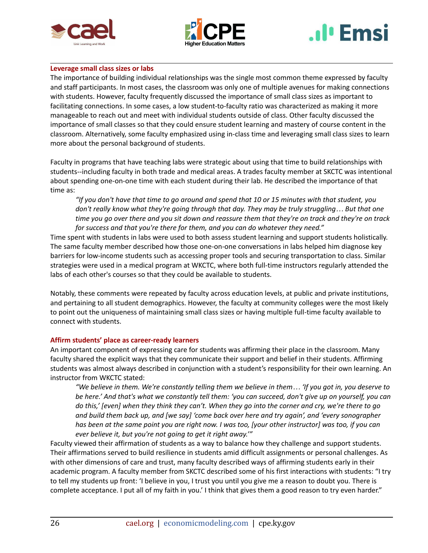





#### **Leverage small class sizes or labs**

The importance of building individual relationships was the single most common theme expressed by faculty and staff participants. In most cases, the classroom was only one of multiple avenues for making connections with students. However, faculty frequently discussed the importance of small class sizes as important to facilitating connections. In some cases, a low student-to-faculty ratio was characterized as making it more manageable to reach out and meet with individual students outside of class. Other faculty discussed the importance of small classes so that they could ensure student learning and mastery of course content in the classroom. Alternatively, some faculty emphasized using in-class time and leveraging small class sizes to learn more about the personal background of students.

Faculty in programs that have teaching labs were strategic about using that time to build relationships with students--including faculty in both trade and medical areas. A trades faculty member at SKCTC was intentional about spending one-on-one time with each student during their lab. He described the importance of that time as:

"If you don't have that time to go around and spend that 10 or 15 minutes with that student, you *don't really know what they're going through that day. They may be truly struggling… But that one* time you go over there and you sit down and reassure them that they're on track and they're on track *for success and that you're there for them, and you can do whatever they need."*

Time spent with students in labs were used to both assess student learning and support students holistically. The same faculty member described how those one-on-one conversations in labs helped him diagnose key barriers for low-income students such as accessing proper tools and securing transportation to class. Similar strategies were used in a medical program at WKCTC, where both full-time instructors regularly attended the labs of each other's courses so that they could be available to students.

Notably, these comments were repeated by faculty across education levels, at public and private institutions, and pertaining to all student demographics. However, the faculty at community colleges were the most likely to point out the uniqueness of maintaining small class sizes or having multiple full-time faculty available to connect with students.

### **Affirm students' place as career-ready learners**

An important component of expressing care for students was affirming their place in the classroom. Many faculty shared the explicit ways that they communicate their support and belief in their students. Affirming students was almost always described in conjunction with a student's responsibility for their own learning. An instructor from WKCTC stated:

"We believe in them. We're constantly telling them we believe in them... 'If you got in, you deserve to be here.' And that's what we constantly tell them: 'you can succeed, don't give up on yourself, you can do this,' [even] when they think they can't. When they go into the corner and cry, we're there to go *and build them back up, and [we say] 'come back over here and try again', and 'every sonographer* has been at the same point you are right now. I was too, [your other instructor] was too, if you can *ever believe it, but you're not going to get it right away.'"*

Faculty viewed their affirmation of students as a way to balance how they challenge and support students. Their affirmations served to build resilience in students amid difficult assignments or personal challenges. As with other dimensions of care and trust, many faculty described ways of affirming students early in their academic program. A faculty member from SKCTC described some of his first interactions with students: "I try to tell my students up front: 'I believe in you, I trust you until you give me a reason to doubt you. There is complete acceptance. I put all of my faith in you.' I think that gives them a good reason to try even harder."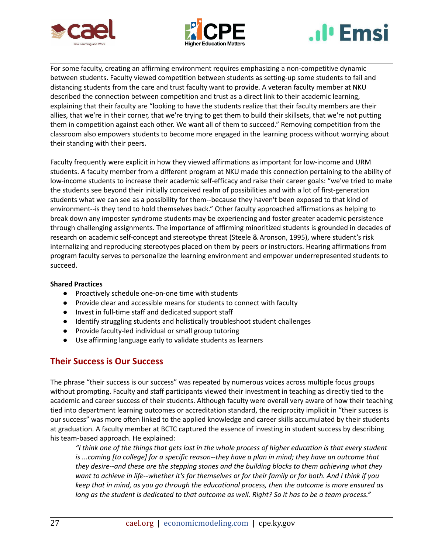





For some faculty, creating an affirming environment requires emphasizing a non-competitive dynamic between students. Faculty viewed competition between students as setting-up some students to fail and distancing students from the care and trust faculty want to provide. A veteran faculty member at NKU described the connection between competition and trust as a direct link to their academic learning, explaining that their faculty are "looking to have the students realize that their faculty members are their allies, that we're in their corner, that we're trying to get them to build their skillsets, that we're not putting them in competition against each other. We want all of them to succeed." Removing competition from the classroom also empowers students to become more engaged in the learning process without worrying about their standing with their peers.

Faculty frequently were explicit in how they viewed affirmations as important for low-income and URM students. A faculty member from a different program at NKU made this connection pertaining to the ability of low-income students to increase their academic self-efficacy and raise their career goals: "we've tried to make the students see beyond their initially conceived realm of possibilities and with a lot of first-generation students what we can see as a possibility for them--because they haven't been exposed to that kind of environment--is they tend to hold themselves back." Other faculty approached affirmations as helping to break down any imposter syndrome students may be experiencing and foster greater academic persistence through challenging assignments. The importance of affirming minoritized students is grounded in decades of research on academic self-concept and stereotype threat (Steele & Aronson, 1995), where student's risk internalizing and reproducing stereotypes placed on them by peers or instructors. Hearing affirmations from program faculty serves to personalize the learning environment and empower underrepresented students to succeed.

### **Shared Practices**

- Proactively schedule one-on-one time with students
- Provide clear and accessible means for students to connect with faculty
- Invest in full-time staff and dedicated support staff
- Identify struggling students and holistically troubleshoot student challenges
- Provide faculty-led individual or small group tutoring
- Use affirming language early to validate students as learners

## **Their Success is Our Success**

The phrase "their success is our success" was repeated by numerous voices across multiple focus groups without prompting. Faculty and staff participants viewed their investment in teaching as directly tied to the academic and career success of their students. Although faculty were overall very aware of how their teaching tied into department learning outcomes or accreditation standard, the reciprocity implicit in "their success is our success" was more often linked to the applied knowledge and career skills accumulated by their students at graduation. A faculty member at BCTC captured the essence of investing in student success by describing his team-based approach. He explained:

If think one of the things that gets lost in the whole process of higher education is that every student " is ...coming [to college] for a specific reason--they have a plan in mind; they have an outcome that *they desire--and these are the stepping stones and the building blocks to them achieving what they* want to achieve in life--whether it's for themselves or for their family or for both. And I think if you *keep that in mind, as you go through the educational process, then the outcome is more ensured as* long as the student is dedicated to that outcome as well. Right? So it has to be a team process."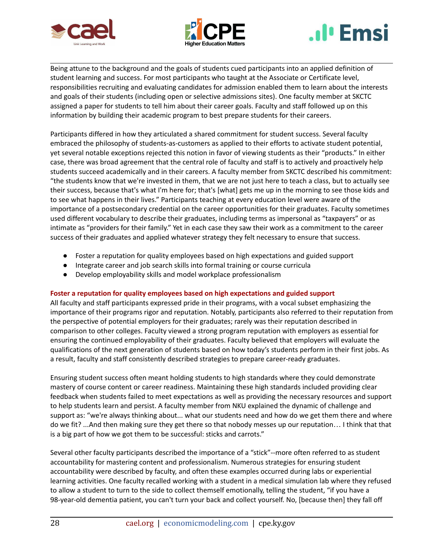





Being attune to the background and the goals of students cued participants into an applied definition of student learning and success. For most participants who taught at the Associate or Certificate level, responsibilities recruiting and evaluating candidates for admission enabled them to learn about the interests and goals of their students (including open or selective admissions sites). One faculty member at SKCTC assigned a paper for students to tell him about their career goals. Faculty and staff followed up on this information by building their academic program to best prepare students for their careers.

Participants differed in how they articulated a shared commitment for student success. Several faculty embraced the philosophy of students-as-customers as applied to their efforts to activate student potential, yet several notable exceptions rejected this notion in favor of viewing students as their "products." In either case, there was broad agreement that the central role of faculty and staff is to actively and proactively help students succeed academically and in their careers. A faculty member from SKCTC described his commitment: "the students know that we're invested in them, that we are not just here to teach a class, but to actually see their success, because that's what I'm here for; that's [what] gets me up in the morning to see those kids and to see what happens in their lives." Participants teaching at every education level were aware of the importance of a postsecondary credential on the career opportunities for their graduates. Faculty sometimes used different vocabulary to describe their graduates, including terms as impersonal as "taxpayers" or as intimate as "providers for their family." Yet in each case they saw their work as a commitment to the career success of their graduates and applied whatever strategy they felt necessary to ensure that success.

- Foster a reputation for quality employees based on high expectations and guided support
- Integrate career and job search skills into formal training or course curricula
- Develop employability skills and model workplace professionalism

### **Foster a reputation for quality employees based on high expectations and guided support**

All faculty and staff participants expressed pride in their programs, with a vocal subset emphasizing the importance of their programs rigor and reputation. Notably, participants also referred to their reputation from the perspective of potential employers for their graduates; rarely was their reputation described in comparison to other colleges. Faculty viewed a strong program reputation with employers as essential for ensuring the continued employability of their graduates. Faculty believed that employers will evaluate the qualifications of the next generation of students based on how today's students perform in their first jobs. As a result, faculty and staff consistently described strategies to prepare career-ready graduates.

Ensuring student success often meant holding students to high standards where they could demonstrate mastery of course content or career readiness. Maintaining these high standards included providing clear feedback when students failed to meet expectations as well as providing the necessary resources and support to help students learn and persist. A faculty member from NKU explained the dynamic of challenge and support as: "we're always thinking about... what our students need and how do we get them there and where do we fit? ...And then making sure they get there so that nobody messes up our reputation… I think that that is a big part of how we got them to be successful: sticks and carrots."

Several other faculty participants described the importance of a "stick"--more often referred to as student accountability for mastering content and professionalism. Numerous strategies for ensuring student accountability were described by faculty, and often these examples occurred during labs or experiential learning activities. One faculty recalled working with a student in a medical simulation lab where they refused to allow a student to turn to the side to collect themself emotionally, telling the student, "if you have a 98-year-old dementia patient, you can't turn your back and collect yourself. No, [because then] they fall off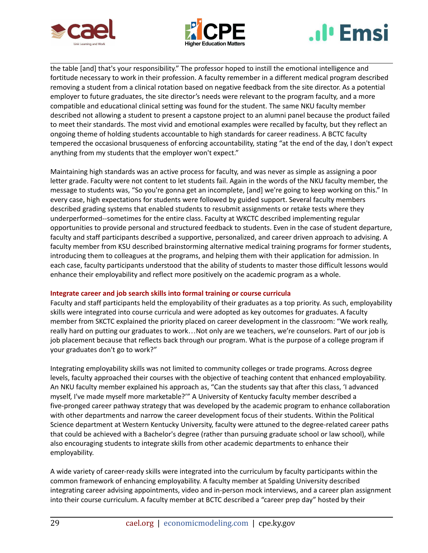





the table [and] that's your responsibility." The professor hoped to instill the emotional intelligence and fortitude necessary to work in their profession. A faculty remember in a different medical program described removing a student from a clinical rotation based on negative feedback from the site director. As a potential employer to future graduates, the site director's needs were relevant to the program faculty, and a more compatible and educational clinical setting was found for the student. The same NKU faculty member described not allowing a student to present a capstone project to an alumni panel because the product failed to meet their standards. The most vivid and emotional examples were recalled by faculty, but they reflect an ongoing theme of holding students accountable to high standards for career readiness. A BCTC faculty tempered the occasional brusqueness of enforcing accountability, stating "at the end of the day, I don't expect anything from my students that the employer won't expect."

Maintaining high standards was an active process for faculty, and was never as simple as assigning a poor letter grade. Faculty were not content to let students fail. Again in the words of the NKU faculty member, the message to students was, "So you're gonna get an incomplete, [and] we're going to keep working on this." In every case, high expectations for students were followed by guided support. Several faculty members described grading systems that enabled students to resubmit assignments or retake tests where they underperformed--sometimes for the entire class. Faculty at WKCTC described implementing regular opportunities to provide personal and structured feedback to students. Even in the case of student departure, faculty and staff participants described a supportive, personalized, and career driven approach to advising. A faculty member from KSU described brainstorming alternative medical training programs for former students, introducing them to colleagues at the programs, and helping them with their application for admission. In each case, faculty participants understood that the ability of students to master those difficult lessons would enhance their employability and reflect more positively on the academic program as a whole.

### **Integrate career and job search skills into formal training or course curricula**

Faculty and staff participants held the employability of their graduates as a top priority. As such, employability skills were integrated into course curricula and were adopted as key outcomes for graduates. A faculty member from SKCTC explained the priority placed on career development in the classroom: "We work really, really hard on putting our graduates to work…Not only are we teachers, we're counselors. Part of our job is job placement because that reflects back through our program. What is the purpose of a college program if your graduates don't go to work?"

Integrating employability skills was not limited to community colleges or trade programs. Across degree levels, faculty approached their courses with the objective of teaching content that enhanced employability. An NKU faculty member explained his approach as, "Can the students say that after this class, 'I advanced myself, I've made myself more marketable?'" A University of Kentucky faculty member described a five-pronged career pathway strategy that was developed by the academic program to enhance collaboration with other departments and narrow the career development focus of their students. Within the Political Science department at Western Kentucky University, faculty were attuned to the degree-related career paths that could be achieved with a Bachelor's degree (rather than pursuing graduate school or law school), while also encouraging students to integrate skills from other academic departments to enhance their employability.

A wide variety of career-ready skills were integrated into the curriculum by faculty participants within the common framework of enhancing employability. A faculty member at Spalding University described integrating career advising appointments, video and in-person mock interviews, and a career plan assignment into their course curriculum. A faculty member at BCTC described a "career prep day" hosted by their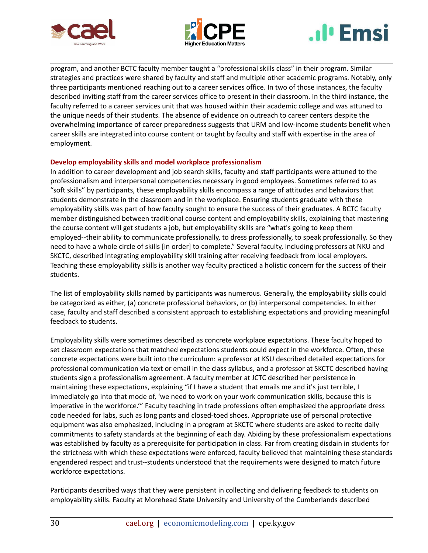





program, and another BCTC faculty member taught a "professional skills class" in their program. Similar strategies and practices were shared by faculty and staff and multiple other academic programs. Notably, only three participants mentioned reaching out to a career services office. In two of those instances, the faculty described inviting staff from the career services office to present in their classroom. In the third instance, the faculty referred to a career services unit that was housed within their academic college and was attuned to the unique needs of their students. The absence of evidence on outreach to career centers despite the overwhelming importance of career preparedness suggests that URM and low-income students benefit when career skills are integrated into course content or taught by faculty and staff with expertise in the area of employment.

### **Develop employability skills and model workplace professionalism**

In addition to career development and job search skills, faculty and staff participants were attuned to the professionalism and interpersonal competencies necessary in good employees. Sometimes referred to as "soft skills" by participants, these employability skills encompass a range of attitudes and behaviors that students demonstrate in the classroom and in the workplace. Ensuring students graduate with these employability skills was part of how faculty sought to ensure the success of their graduates. A BCTC faculty member distinguished between traditional course content and employability skills, explaining that mastering the course content will get students a job, but employability skills are "what's going to keep them employed--their ability to communicate professionally, to dress professionally, to speak professionally. So they need to have a whole circle of skills [in order] to complete." Several faculty, including professors at NKU and SKCTC, described integrating employability skill training after receiving feedback from local employers. Teaching these employability skills is another way faculty practiced a holistic concern for the success of their students.

The list of employability skills named by participants was numerous. Generally, the employability skills could be categorized as either, (a) concrete professional behaviors, or (b) interpersonal competencies. In either case, faculty and staff described a consistent approach to establishing expectations and providing meaningful feedback to students.

Employability skills were sometimes described as concrete workplace expectations. These faculty hoped to set classroom expectations that matched expectations students could expect in the workforce. Often, these concrete expectations were built into the curriculum: a professor at KSU described detailed expectations for professional communication via text or email in the class syllabus, and a professor at SKCTC described having students sign a professionalism agreement. A faculty member at JCTC described her persistence in maintaining these expectations, explaining "if I have a student that emails me and it's just terrible, I immediately go into that mode of, 'we need to work on your work communication skills, because this is imperative in the workforce.'" Faculty teaching in trade professions often emphasized the appropriate dress code needed for labs, such as long pants and closed-toed shoes. Appropriate use of personal protective equipment was also emphasized, including in a program at SKCTC where students are asked to recite daily commitments to safety standards at the beginning of each day. Abiding by these professionalism expectations was established by faculty as a prerequisite for participation in class. Far from creating disdain in students for the strictness with which these expectations were enforced, faculty believed that maintaining these standards engendered respect and trust--students understood that the requirements were designed to match future workforce expectations.

Participants described ways that they were persistent in collecting and delivering feedback to students on employability skills. Faculty at Morehead State University and University of the Cumberlands described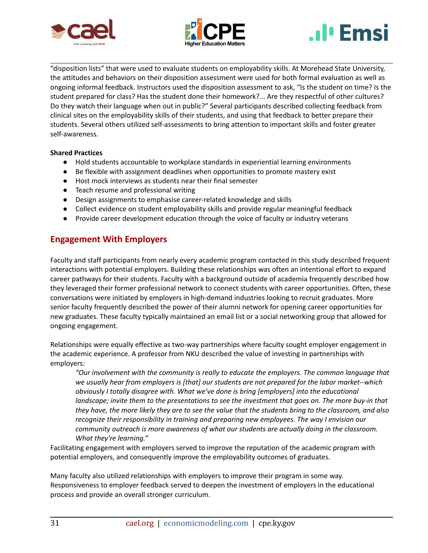





"disposition lists" that were used to evaluate students on employability skills. At Morehead State University, the attitudes and behaviors on their disposition assessment were used for both formal evaluation as well as ongoing informal feedback. Instructors used the disposition assessment to ask, "Is the student on time? Is the student prepared for class? Has the student done their homework?... Are they respectful of other cultures? Do they watch their language when out in public?" Several participants described collecting feedback from clinical sites on the employability skills of their students, and using that feedback to better prepare their students. Several others utilized self-assessments to bring attention to important skills and foster greater self-awareness.

### **Shared Practices**

- Hold students accountable to workplace standards in experiential learning environments
- Be flexible with assignment deadlines when opportunities to promote mastery exist
- Host mock interviews as students near their final semester
- Teach resume and professional writing
- Design assignments to emphasise career-related knowledge and skills
- Collect evidence on student employability skills and provide regular meaningful feedback
- Provide career development education through the voice of faculty or industry veterans

## **Engagement With Employers**

Faculty and staff participants from nearly every academic program contacted in this study described frequent interactions with potential employers. Building these relationships was often an intentional effort to expand career pathways for their students. Faculty with a background outside of academia frequently described how they leveraged their former professional network to connect students with career opportunities. Often, these conversations were initiated by employers in high-demand industries looking to recruit graduates. More senior faculty frequently described the power of their alumni network for opening career opportunities for new graduates. These faculty typically maintained an email list or a social networking group that allowed for ongoing engagement.

Relationships were equally effective as two-way partnerships where faculty sought employer engagement in the academic experience. A professor from NKU described the value of investing in partnerships with employers:

*"Our involvement with the community is really to educate the employers. The common language that we usually hear from employers is [that] our students are not prepared for the labor market--which obviously I totally disagree with. What we've done is bring [employers] into the educational landscape; invite them to the presentations to see the investment that goes on. The more buy-in that* they have, the more likely they are to see the value that the students bring to the classroom, and also *recognize their responsibility in training and preparing new employees. The way I envision our community outreach is more awareness of what our students are actually doing in the classroom. What they're learning."*

Facilitating engagement with employers served to improve the reputation of the academic program with potential employers, and consequently improve the employability outcomes of graduates.

Many faculty also utilized relationships with employers to improve their program in some way. Responsiveness to employer feedback served to deepen the investment of employers in the educational process and provide an overall stronger curriculum.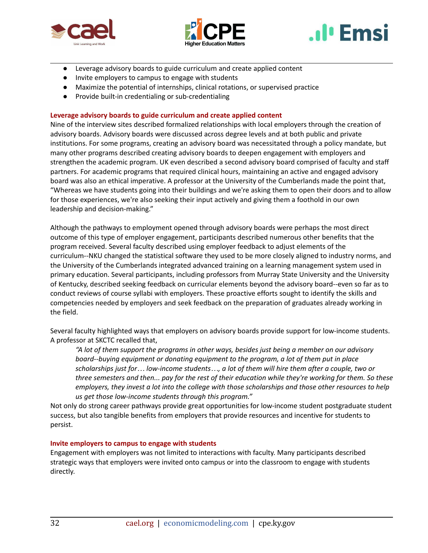





- Leverage advisory boards to guide curriculum and create applied content
- Invite employers to campus to engage with students
- Maximize the potential of internships, clinical rotations, or supervised practice
- Provide built-in credentialing or sub-credentialing

### **Leverage advisory boards to guide curriculum and create applied content**

Nine of the interview sites described formalized relationships with local employers through the creation of advisory boards. Advisory boards were discussed across degree levels and at both public and private institutions. For some programs, creating an advisory board was necessitated through a policy mandate, but many other programs described creating advisory boards to deepen engagement with employers and strengthen the academic program. UK even described a second advisory board comprised of faculty and staff partners. For academic programs that required clinical hours, maintaining an active and engaged advisory board was also an ethical imperative. A professor at the University of the Cumberlands made the point that, "Whereas we have students going into their buildings and we're asking them to open their doors and to allow for those experiences, we're also seeking their input actively and giving them a foothold in our own leadership and decision-making."

Although the pathways to employment opened through advisory boards were perhaps the most direct outcome of this type of employer engagement, participants described numerous other benefits that the program received. Several faculty described using employer feedback to adjust elements of the curriculum--NKU changed the statistical software they used to be more closely aligned to industry norms, and the University of the Cumberlands integrated advanced training on a learning management system used in primary education. Several participants, including professors from Murray State University and the University of Kentucky, described seeking feedback on curricular elements beyond the advisory board--even so far as to conduct reviews of course syllabi with employers. These proactive efforts sought to identify the skills and competencies needed by employers and seek feedback on the preparation of graduates already working in the field.

Several faculty highlighted ways that employers on advisory boards provide support for low-income students. A professor at SKCTC recalled that,

*"A lot of them support the programs in other ways, besides just being a member on our advisory board--buying equipment or donating equipment to the program, a lot of them put in place* scholarships just for... low-income students..., a lot of them will hire them after a couple, two or three semesters and then... pay for the rest of their education while they're working for them. So these *employers, they invest a lot into the college with those scholarships and those other resources to help us get those low-income students through this program."*

Not only do strong career pathways provide great opportunities for low-income student postgraduate student success, but also tangible benefits from employers that provide resources and incentive for students to persist.

### **Invite employers to campus to engage with students**

Engagement with employers was not limited to interactions with faculty. Many participants described strategic ways that employers were invited onto campus or into the classroom to engage with students directly.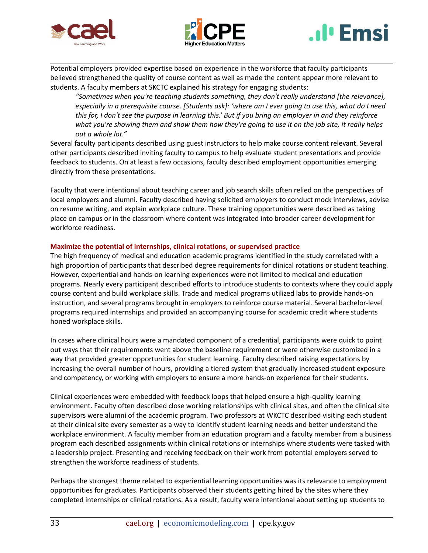





Potential employers provided expertise based on experience in the workforce that faculty participants believed strengthened the quality of course content as well as made the content appear more relevant to students. A faculty members at SKCTC explained his strategy for engaging students:

*"Sometimes when you're teaching students something, they don't really understand [the relevance],* especially in a prerequisite course. [Students ask]: 'where am I ever going to use this, what do I need this for, I don't see the purpose in learning this.' But if you bring an employer in and they reinforce what you're showing them and show them how they're going to use it on the job site, it really helps *out a whole lot."*

Several faculty participants described using guest instructors to help make course content relevant. Several other participants described inviting faculty to campus to help evaluate student presentations and provide feedback to students. On at least a few occasions, faculty described employment opportunities emerging directly from these presentations.

Faculty that were intentional about teaching career and job search skills often relied on the perspectives of local employers and alumni. Faculty described having solicited employers to conduct mock interviews, advise on resume writing, and explain workplace culture. These training opportunities were described as taking place on campus or in the classroom where content was integrated into broader career development for workforce readiness.

### **Maximize the potential of internships, clinical rotations, or supervised practice**

The high frequency of medical and education academic programs identified in the study correlated with a high proportion of participants that described degree requirements for clinical rotations or student teaching. However, experiential and hands-on learning experiences were not limited to medical and education programs. Nearly every participant described efforts to introduce students to contexts where they could apply course content and build workplace skills. Trade and medical programs utilized labs to provide hands-on instruction, and several programs brought in employers to reinforce course material. Several bachelor-level programs required internships and provided an accompanying course for academic credit where students honed workplace skills.

In cases where clinical hours were a mandated component of a credential, participants were quick to point out ways that their requirements went above the baseline requirement or were otherwise customized in a way that provided greater opportunities for student learning. Faculty described raising expectations by increasing the overall number of hours, providing a tiered system that gradually increased student exposure and competency, or working with employers to ensure a more hands-on experience for their students.

Clinical experiences were embedded with feedback loops that helped ensure a high-quality learning environment. Faculty often described close working relationships with clinical sites, and often the clinical site supervisors were alumni of the academic program. Two professors at WKCTC described visiting each student at their clinical site every semester as a way to identify student learning needs and better understand the workplace environment. A faculty member from an education program and a faculty member from a business program each described assignments within clinical rotations or internships where students were tasked with a leadership project. Presenting and receiving feedback on their work from potential employers served to strengthen the workforce readiness of students.

Perhaps the strongest theme related to experiential learning opportunities was its relevance to employment opportunities for graduates. Participants observed their students getting hired by the sites where they completed internships or clinical rotations. As a result, faculty were intentional about setting up students to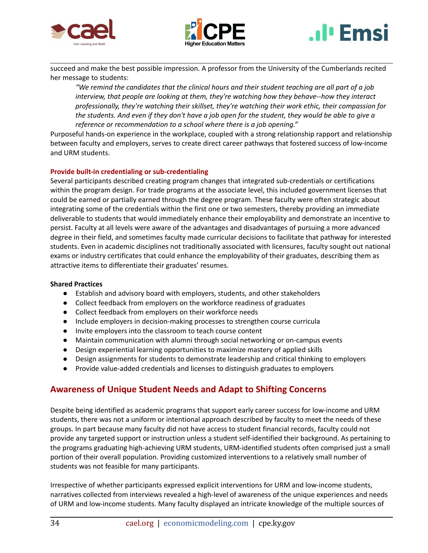





succeed and make the best possible impression. A professor from the University of the Cumberlands recited her message to students:

*"We remind the candidates that the clinical hours and their student teaching are all part of a job interview, that people are looking at them, they're watching how they behave--how they interact professionally, they're watching their skillset, they're watching their work ethic, their compassion for* the students. And even if they don't have a job open for the student, they would be able to give a *reference or recommendation to a school where there is a job opening."*

Purposeful hands-on experience in the workplace, coupled with a strong relationship rapport and relationship between faculty and employers, serves to create direct career pathways that fostered success of low-income and URM students.

### **Provide built-in credentialing or sub-credentialing**

Several participants described creating program changes that integrated sub-credentials or certifications within the program design. For trade programs at the associate level, this included government licenses that could be earned or partially earned through the degree program. These faculty were often strategic about integrating some of the credentials within the first one or two semesters, thereby providing an immediate deliverable to students that would immediately enhance their employability and demonstrate an incentive to persist. Faculty at all levels were aware of the advantages and disadvantages of pursuing a more advanced degree in their field, and sometimes faculty made curricular decisions to facilitate that pathway for interested students. Even in academic disciplines not traditionally associated with licensures, faculty sought out national exams or industry certificates that could enhance the employability of their graduates, describing them as attractive items to differentiate their graduates' resumes.

#### **Shared Practices**

- Establish and advisory board with employers, students, and other stakeholders
- Collect feedback from employers on the workforce readiness of graduates
- Collect feedback from employers on their workforce needs
- Include employers in decision-making processes to strengthen course curricula
- Invite employers into the classroom to teach course content
- Maintain communication with alumni through social networking or on-campus events
- Design experiential learning opportunities to maximize mastery of applied skills
- Design assignments for students to demonstrate leadership and critical thinking to employers
- Provide value-added credentials and licenses to distinguish graduates to employers

## **Awareness of Unique Student Needs and Adapt to Shifting Concerns**

Despite being identified as academic programs that support early career success for low-income and URM students, there was not a uniform or intentional approach described by faculty to meet the needs of these groups. In part because many faculty did not have access to student financial records, faculty could not provide any targeted support or instruction unless a student self-identified their background. As pertaining to the programs graduating high-achieving URM students, URM-identified students often comprised just a small portion of their overall population. Providing customized interventions to a relatively small number of students was not feasible for many participants.

Irrespective of whether participants expressed explicit interventions for URM and low-income students, narratives collected from interviews revealed a high-level of awareness of the unique experiences and needs of URM and low-income students. Many faculty displayed an intricate knowledge of the multiple sources of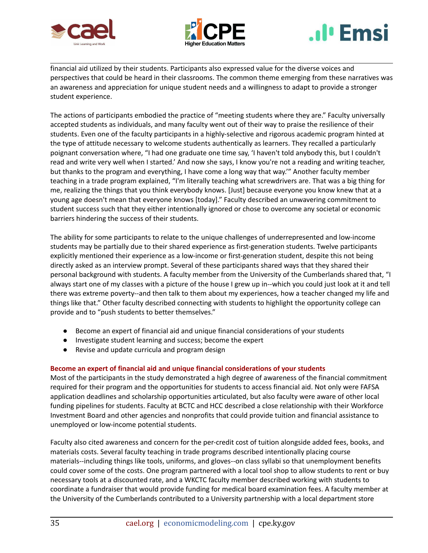





financial aid utilized by their students. Participants also expressed value for the diverse voices and perspectives that could be heard in their classrooms. The common theme emerging from these narratives was an awareness and appreciation for unique student needs and a willingness to adapt to provide a stronger student experience.

The actions of participants embodied the practice of "meeting students where they are." Faculty universally accepted students as individuals, and many faculty went out of their way to praise the resilience of their students. Even one of the faculty participants in a highly-selective and rigorous academic program hinted at the type of attitude necessary to welcome students authentically as learners. They recalled a particularly poignant conversation where, "I had one graduate one time say, 'I haven't told anybody this, but I couldn't read and write very well when I started.' And now she says, I know you're not a reading and writing teacher, but thanks to the program and everything, I have come a long way that way.'" Another faculty member teaching in a trade program explained, "I'm literally teaching what screwdrivers are. That was a big thing for me, realizing the things that you think everybody knows. [Just] because everyone you know knew that at a young age doesn't mean that everyone knows [today]." Faculty described an unwavering commitment to student success such that they either intentionally ignored or chose to overcome any societal or economic barriers hindering the success of their students.

The ability for some participants to relate to the unique challenges of underrepresented and low-income students may be partially due to their shared experience as first-generation students. Twelve participants explicitly mentioned their experience as a low-income or first-generation student, despite this not being directly asked as an interview prompt. Several of these participants shared ways that they shared their personal background with students. A faculty member from the University of the Cumberlands shared that, "I always start one of my classes with a picture of the house I grew up in--which you could just look at it and tell there was extreme poverty--and then talk to them about my experiences, how a teacher changed my life and things like that." Other faculty described connecting with students to highlight the opportunity college can provide and to "push students to better themselves."

- Become an expert of financial aid and unique financial considerations of your students
- Investigate student learning and success; become the expert
- Revise and update curricula and program design

### **Become an expert of financial aid and unique financial considerations of your students**

Most of the participants in the study demonstrated a high degree of awareness of the financial commitment required for their program and the opportunities for students to access financial aid. Not only were FAFSA application deadlines and scholarship opportunities articulated, but also faculty were aware of other local funding pipelines for students. Faculty at BCTC and HCC described a close relationship with their Workforce Investment Board and other agencies and nonprofits that could provide tuition and financial assistance to unemployed or low-income potential students.

Faculty also cited awareness and concern for the per-credit cost of tuition alongside added fees, books, and materials costs. Several faculty teaching in trade programs described intentionally placing course materials--including things like tools, uniforms, and gloves--on class syllabi so that unemployment benefits could cover some of the costs. One program partnered with a local tool shop to allow students to rent or buy necessary tools at a discounted rate, and a WKCTC faculty member described working with students to coordinate a fundraiser that would provide funding for medical board examination fees. A faculty member at the University of the Cumberlands contributed to a University partnership with a local department store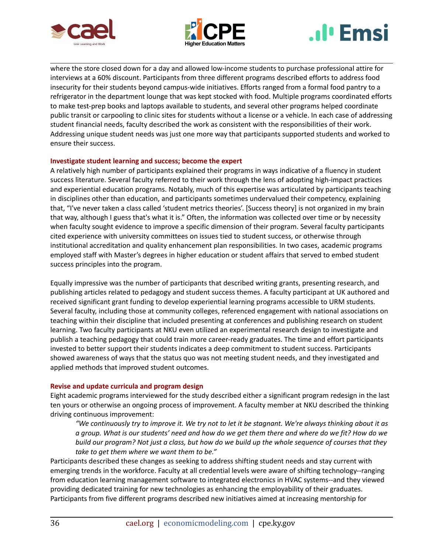





where the store closed down for a day and allowed low-income students to purchase professional attire for interviews at a 60% discount. Participants from three different programs described efforts to address food insecurity for their students beyond campus-wide initiatives. Efforts ranged from a formal food pantry to a refrigerator in the department lounge that was kept stocked with food. Multiple programs coordinated efforts to make test-prep books and laptops available to students, and several other programs helped coordinate public transit or carpooling to clinic sites for students without a license or a vehicle. In each case of addressing student financial needs, faculty described the work as consistent with the responsibilities of their work. Addressing unique student needs was just one more way that participants supported students and worked to ensure their success.

### **Investigate student learning and success; become the expert**

A relatively high number of participants explained their programs in ways indicative of a fluency in student success literature. Several faculty referred to their work through the lens of adopting high-impact practices and experiential education programs. Notably, much of this expertise was articulated by participants teaching in disciplines other than education, and participants sometimes undervalued their competency, explaining that, "I've never taken a class called 'student metrics theories'. [Success theory] is not organized in my brain that way, although I guess that's what it is." Often, the information was collected over time or by necessity when faculty sought evidence to improve a specific dimension of their program. Several faculty participants cited experience with university committees on issues tied to student success, or otherwise through institutional accreditation and quality enhancement plan responsibilities. In two cases, academic programs employed staff with Master's degrees in higher education or student affairs that served to embed student success principles into the program.

Equally impressive was the number of participants that described writing grants, presenting research, and publishing articles related to pedagogy and student success themes. A faculty participant at UK authored and received significant grant funding to develop experiential learning programs accessible to URM students. Several faculty, including those at community colleges, referenced engagement with national associations on teaching within their discipline that included presenting at conferences and publishing research on student learning. Two faculty participants at NKU even utilized an experimental research design to investigate and publish a teaching pedagogy that could train more career-ready graduates. The time and effort participants invested to better support their students indicates a deep commitment to student success. Participants showed awareness of ways that the status quo was not meeting student needs, and they investigated and applied methods that improved student outcomes.

### **Revise and update curricula and program design**

Eight academic programs interviewed for the study described either a significant program redesign in the last ten yours or otherwise an ongoing process of improvement. A faculty member at NKU described the thinking driving continuous improvement:

"We continuously try to improve it. We try not to let it be stagnant. We're always thinking about it as a group. What is our students' need and how do we get them there and where do we fit? How do we build our program? Not just a class, but how do we build up the whole sequence of courses that they *take to get them where we want them to be."*

Participants described these changes as seeking to address shifting student needs and stay current with emerging trends in the workforce. Faculty at all credential levels were aware of shifting technology--ranging from education learning management software to integrated electronics in HVAC systems--and they viewed providing dedicated training for new technologies as enhancing the employability of their graduates. Participants from five different programs described new initiatives aimed at increasing mentorship for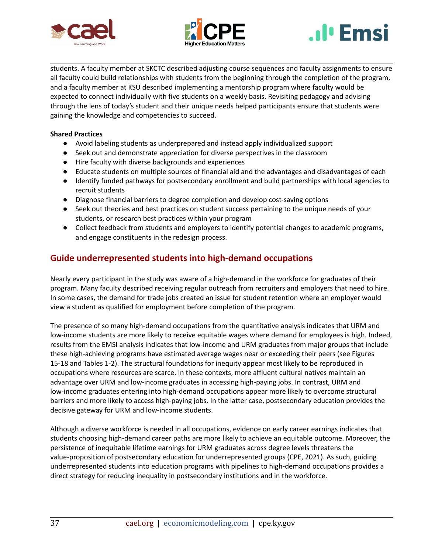





students. A faculty member at SKCTC described adjusting course sequences and faculty assignments to ensure all faculty could build relationships with students from the beginning through the completion of the program, and a faculty member at KSU described implementing a mentorship program where faculty would be expected to connect individually with five students on a weekly basis. Revisiting pedagogy and advising through the lens of today's student and their unique needs helped participants ensure that students were gaining the knowledge and competencies to succeed.

### **Shared Practices**

- Avoid labeling students as underprepared and instead apply individualized support
- Seek out and demonstrate appreciation for diverse perspectives in the classroom
- Hire faculty with diverse backgrounds and experiences
- Educate students on multiple sources of financial aid and the advantages and disadvantages of each
- Identify funded pathways for postsecondary enrollment and build partnerships with local agencies to recruit students
- Diagnose financial barriers to degree completion and develop cost-saving options
- Seek out theories and best practices on student success pertaining to the unique needs of your students, or research best practices within your program
- Collect feedback from students and employers to identify potential changes to academic programs, and engage constituents in the redesign process.

## **Guide underrepresented students into high-demand occupations**

Nearly every participant in the study was aware of a high-demand in the workforce for graduates of their program. Many faculty described receiving regular outreach from recruiters and employers that need to hire. In some cases, the demand for trade jobs created an issue for student retention where an employer would view a student as qualified for employment before completion of the program.

The presence of so many high-demand occupations from the quantitative analysis indicates that URM and low-income students are more likely to receive equitable wages where demand for employees is high. Indeed, results from the EMSI analysis indicates that low-income and URM graduates from major groups that include these high-achieving programs have estimated average wages near or exceeding their peers (see Figures 15-18 and Tables 1-2). The structural foundations for inequity appear most likely to be reproduced in occupations where resources are scarce. In these contexts, more affluent cultural natives maintain an advantage over URM and low-income graduates in accessing high-paying jobs. In contrast, URM and low-income graduates entering into high-demand occupations appear more likely to overcome structural barriers and more likely to access high-paying jobs. In the latter case, postsecondary education provides the decisive gateway for URM and low-income students.

Although a diverse workforce is needed in all occupations, evidence on early career earnings indicates that students choosing high-demand career paths are more likely to achieve an equitable outcome. Moreover, the persistence of inequitable lifetime earnings for URM graduates across degree levels threatens the value-proposition of postsecondary education for underrepresented groups (CPE, 2021). As such, guiding underrepresented students into education programs with pipelines to high-demand occupations provides a direct strategy for reducing inequality in postsecondary institutions and in the workforce.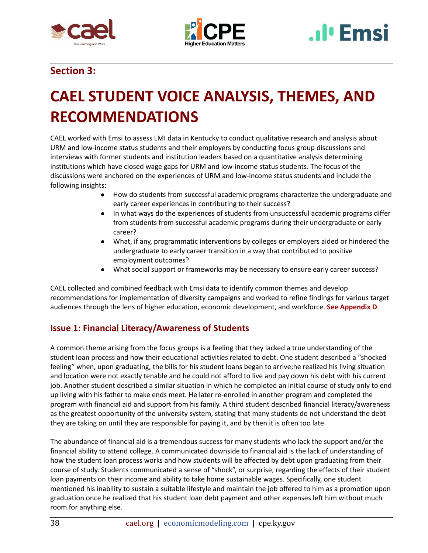





## **Section 3:**

## <span id="page-38-0"></span>**CAEL STUDENT VOICE ANALYSIS, THEMES, AND RECOMMENDATIONS**

CAEL worked with Emsi to assess LMI data in Kentucky to conduct qualitative research and analysis about URM and low-income status students and their employers by conducting focus group discussions and interviews with former students and institution leaders based on a quantitative analysis determining institutions which have closed wage gaps for URM and low-income status students. The focus of the discussions were anchored on the experiences of URM and low-income status students and include the following insights:

- How do students from successful academic programs characterize the undergraduate and early career experiences in contributing to their success?
- In what ways do the experiences of students from unsuccessful academic programs differ from students from successful academic programs during their undergraduate or early career?
- What, if any, programmatic interventions by colleges or employers aided or hindered the undergraduate to early career transition in a way that contributed to positive employment outcomes?
- What social support or frameworks may be necessary to ensure early career success?

CAEL collected and combined feedback with Emsi data to identify common themes and develop recommendations for implementation of diversity campaigns and worked to refine findings for various target audiences through the lens of higher education, economic development, and workforce. **See Appendix D**.

## **Issue 1: Financial Literacy/Awareness of Students**

A common theme arising from the focus groups is a feeling that they lacked a true understanding of the student loan process and how their educational activities related to debt. One student described a "shocked feeling" when, upon graduating, the bills for his student loans began to arrive;he realized his living situation and location were not exactly tenable and he could not afford to live and pay down his debt with his current job. Another student described a similar situation in which he completed an initial course of study only to end up living with his father to make ends meet. He later re-enrolled in another program and completed the program with financial aid and support from his family. A third student described financial literacy/awareness as the greatest opportunity of the university system, stating that many students do not understand the debt they are taking on until they are responsible for paying it, and by then it is often too late.

The abundance of financial aid is a tremendous success for many students who lack the support and/or the financial ability to attend college. A communicated downside to financial aid is the lack of understanding of how the student loan process works and how students will be affected by debt upon graduating from their course of study. Students communicated a sense of "shock", or surprise, regarding the effects of their student loan payments on their income and ability to take home sustainable wages. Specifically, one student mentioned his inability to sustain a suitable lifestyle and maintain the job offered to him as a promotion upon graduation once he realized that his student loan debt payment and other expenses left him without much room for anything else.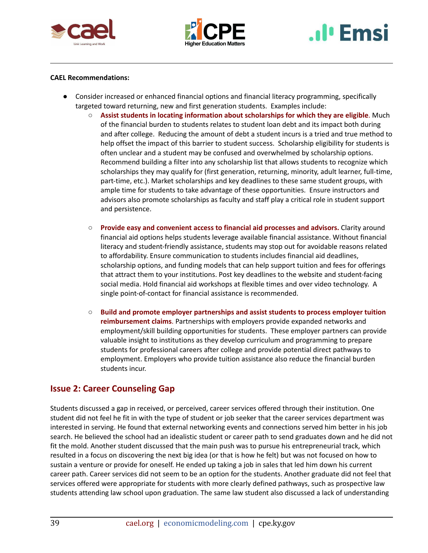



# **I**I Emsi

#### **CAEL Recommendations:**

- Consider increased or enhanced financial options and financial literacy programming, specifically targeted toward returning, new and first generation students. Examples include:
	- **Assist students in locating information about scholarships for which they are eligible**. Much of the financial burden to students relates to student loan debt and its impact both during and after college. Reducing the amount of debt a student incurs is a tried and true method to help offset the impact of this barrier to student success. Scholarship eligibility for students is often unclear and a student may be confused and overwhelmed by scholarship options. Recommend building a filter into any scholarship list that allows students to recognize which scholarships they may qualify for (first generation, returning, minority, adult learner, full-time, part-time, etc.). Market scholarships and key deadlines to these same student groups, with ample time for students to take advantage of these opportunities. Ensure instructors and advisors also promote scholarships as faculty and staff play a critical role in student support and persistence.
	- **Provide easy and convenient access to financial aid processes and advisors.** Clarity around financial aid options helps students leverage available financial assistance. Without financial literacy and student-friendly assistance, students may stop out for avoidable reasons related to affordability. Ensure communication to students includes financial aid deadlines, scholarship options, and funding models that can help support tuition and fees for offerings that attract them to your institutions. Post key deadlines to the website and student-facing social media. Hold financial aid workshops at flexible times and over video technology. A single point-of-contact for financial assistance is recommended.
	- **Build and promote employer partnerships and assist students to process employer tuition reimbursement claims**. Partnerships with employers provide expanded networks and employment/skill building opportunities for students. These employer partners can provide valuable insight to institutions as they develop curriculum and programming to prepare students for professional careers after college and provide potential direct pathways to employment. Employers who provide tuition assistance also reduce the financial burden students incur.

## **Issue 2: Career Counseling Gap**

Students discussed a gap in received, or perceived, career services offered through their institution. One student did not feel he fit in with the type of student or job seeker that the career services department was interested in serving. He found that external networking events and connections served him better in his job search. He believed the school had an idealistic student or career path to send graduates down and he did not fit the mold. Another student discussed that the main push was to pursue his entrepreneurial track, which resulted in a focus on discovering the next big idea (or that is how he felt) but was not focused on how to sustain a venture or provide for oneself. He ended up taking a job in sales that led him down his current career path. Career services did not seem to be an option for the students. Another graduate did not feel that services offered were appropriate for students with more clearly defined pathways, such as prospective law students attending law school upon graduation. The same law student also discussed a lack of understanding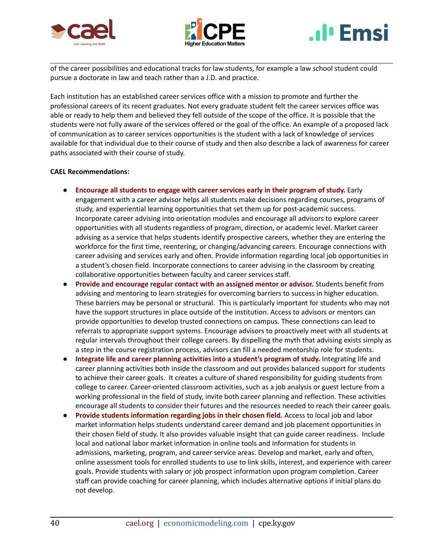





of the career possibilities and educational tracks for law students, for example a law school student could pursue a doctorate in law and teach rather than a J.D. and practice.

Each institution has an established career services office with a mission to promote and further the professional careers of its recent graduates. Not every graduate student felt the career services office was able or ready to help them and believed they fell outside of the scope of the office. It is possible that the students were not fully aware of the services offered or the goal of the office. An example of a proposed lack of communication as to career services opportunities is the student with a lack of knowledge of services available for that individual due to their course of study and then also describe a lack of awareness for career paths associated with their course of study.

#### **CAEL Recommendations:**

- **Encourage all students to engage with career services early in their program of study.** Early engagement with a career advisor helps all students make decisions regarding courses, programs of study, and experiential learning opportunities that set them up for post-academic success. Incorporate career advising into orientation modules and encourage all advisors to explore career opportunities with all students regardless of program, direction, or academic level. Market career advising as a service that helps students identify prospective careers, whether they are entering the workforce for the first time, reentering, or changing/advancing careers. Encourage connections with career advising and services early and often. Provide information regarding local job opportunities in a student's chosen field. Incorporate connections to career advising in the classroom by creating collaborative opportunities between faculty and career services staff.
- **Provide and encourage regular contact with an assigned mentor or advisor.** Students benefit from advising and mentoring to learn strategies for overcoming barriers to success in higher education. These barriers may be personal or structural. This is particularly important for students who may not have the support structures in place outside of the institution. Access to advisors or mentors can provide opportunities to develop trusted connections on campus. These connections can lead to referrals to appropriate support systems. Encourage advisors to proactively meet with all students at regular intervals throughout their college careers. By dispelling the myth that advising exists simply as a step in the course registration process, advisors can fill a needed mentorship role for students.
- **Integrate life and career planning activities into a student's program of study.** Integrating life and career planning activities both inside the classroom and out provides balanced support for students to achieve their career goals. It creates a culture of shared responsibility for guiding students from college to career. Career-oriented classroom activities, such as a job analysis or guest lecture from a working professional in the field of study, invite both career planning and reflection. These activities encourage all students to consider their futures and the resources needed to reach their career goals.
- **Provide students information regarding jobs in their chosen field.** Access to local job and labor market information helps students understand career demand and job placement opportunities in their chosen field of study. It also provides valuable insight that can guide career readiness. Include local and national labor market information in online tools and information for students in admissions, marketing, program, and career service areas. Develop and market, early and often, online assessment tools for enrolled students to use to link skills, interest, and experience with career goals. Provide students with salary or job prospect information upon program completion. Career staff can provide coaching for career planning, which includes alternative options if initial plans do not develop.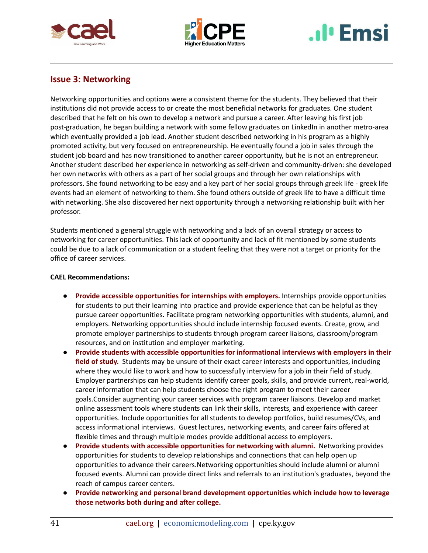





## **Issue 3: Networking**

Networking opportunities and options were a consistent theme for the students. They believed that their institutions did not provide access to or create the most beneficial networks for graduates. One student described that he felt on his own to develop a network and pursue a career. After leaving his first job post-graduation, he began building a network with some fellow graduates on LinkedIn in another metro-area which eventually provided a job lead. Another student described networking in his program as a highly promoted activity, but very focused on entrepreneurship. He eventually found a job in sales through the student job board and has now transitioned to another career opportunity, but he is not an entrepreneur. Another student described her experience in networking as self-driven and community-driven: she developed her own networks with others as a part of her social groups and through her own relationships with professors. She found networking to be easy and a key part of her social groups through greek life - greek life events had an element of networking to them. She found others outside of greek life to have a difficult time with networking. She also discovered her next opportunity through a networking relationship built with her professor.

Students mentioned a general struggle with networking and a lack of an overall strategy or access to networking for career opportunities. This lack of opportunity and lack of fit mentioned by some students could be due to a lack of communication or a student feeling that they were not a target or priority for the office of career services.

### **CAEL Recommendations:**

- **Provide accessible opportunities for internships with employers.** Internships provide opportunities for students to put their learning into practice and provide experience that can be helpful as they pursue career opportunities. Facilitate program networking opportunities with students, alumni, and employers. Networking opportunities should include internship focused events. Create, grow, and promote employer partnerships to students through program career liaisons, classroom/program resources, and on institution and employer marketing.
- **Provide students with accessible opportunities for informational interviews with employers in their field of study.** Students may be unsure of their exact career interests and opportunities, including where they would like to work and how to successfully interview for a job in their field of study. Employer partnerships can help students identify career goals, skills, and provide current, real-world, career information that can help students choose the right program to meet their career goals.Consider augmenting your career services with program career liaisons. Develop and market online assessment tools where students can link their skills, interests, and experience with career opportunities. Include opportunities for all students to develop portfolios, build resumes/CVs, and access informational interviews. Guest lectures, networking events, and career fairs offered at flexible times and through multiple modes provide additional access to employers.
- **Provide students with accessible opportunities for networking with alumni.** Networking provides opportunities for students to develop relationships and connections that can help open up opportunities to advance their careers.Networking opportunities should include alumni or alumni focused events. Alumni can provide direct links and referrals to an institution's graduates, beyond the reach of campus career centers.
- **Provide networking and personal brand development opportunities which include how to leverage those networks both during and after college.**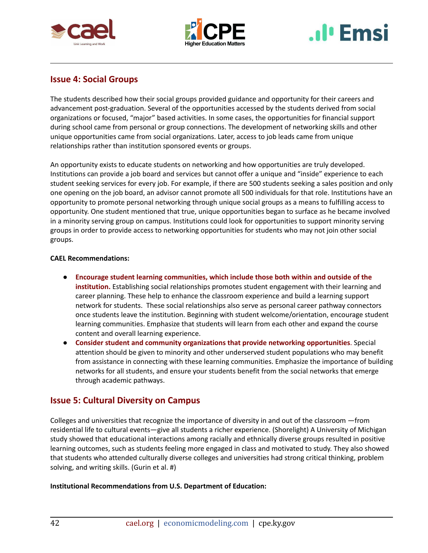





## **Issue 4: Social Groups**

The students described how their social groups provided guidance and opportunity for their careers and advancement post-graduation. Several of the opportunities accessed by the students derived from social organizations or focused, "major" based activities. In some cases, the opportunities for financial support during school came from personal or group connections. The development of networking skills and other unique opportunities came from social organizations. Later, access to job leads came from unique relationships rather than institution sponsored events or groups.

An opportunity exists to educate students on networking and how opportunities are truly developed. Institutions can provide a job board and services but cannot offer a unique and "inside" experience to each student seeking services for every job. For example, if there are 500 students seeking a sales position and only one opening on the job board, an advisor cannot promote all 500 individuals for that role. Institutions have an opportunity to promote personal networking through unique social groups as a means to fulfilling access to opportunity. One student mentioned that true, unique opportunities began to surface as he became involved in a minority serving group on campus. Institutions could look for opportunities to support minority serving groups in order to provide access to networking opportunities for students who may not join other social groups.

## **CAEL Recommendations:**

- **Encourage student learning communities, which include those both within and outside of the institution.** Establishing social relationships promotes student engagement with their learning and career planning. These help to enhance the classroom experience and build a learning support network for students. These social relationships also serve as personal career pathway connectors once students leave the institution. Beginning with student welcome/orientation, encourage student learning communities. Emphasize that students will learn from each other and expand the course content and overall learning experience.
- **Consider student and community organizations that provide networking opportunities**. Special attention should be given to minority and other underserved student populations who may benefit from assistance in connecting with these learning communities. Emphasize the importance of building networks for all students, and ensure your students benefit from the social networks that emerge through academic pathways.

## **Issue 5: Cultural Diversity on Campus**

Colleges and universities that recognize the importance of diversity in and out of the classroom —from residential life to cultural events—give all students a richer experience. (Shorelight) A University of Michigan study showed that educational interactions among racially and ethnically diverse groups resulted in positive learning outcomes, such as students feeling more engaged in class and motivated to study. They also showed that students who attended culturally diverse colleges and universities had strong critical thinking, problem solving, and writing skills. (Gurin et al. #)

## **Institutional Recommendations from U.S. Department of Education:**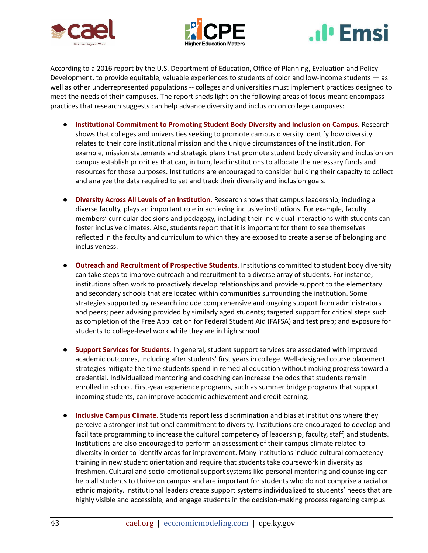





According to a 2016 report by the U.S. Department of Education, Office of Planning, Evaluation and Policy Development, to provide equitable, valuable experiences to students of color and low-income students — as well as other underrepresented populations -- colleges and universities must implement practices designed to meet the needs of their campuses. The report sheds light on the following areas of focus meant encompass practices that research suggests can help advance diversity and inclusion on college campuses:

- **Institutional Commitment to Promoting Student Body Diversity and Inclusion on Campus.** Research shows that colleges and universities seeking to promote campus diversity identify how diversity relates to their core institutional mission and the unique circumstances of the institution. For example, mission statements and strategic plans that promote student body diversity and inclusion on campus establish priorities that can, in turn, lead institutions to allocate the necessary funds and resources for those purposes. Institutions are encouraged to consider building their capacity to collect and analyze the data required to set and track their diversity and inclusion goals.
- **Diversity Across All Levels of an Institution.** Research shows that campus leadership, including a diverse faculty, plays an important role in achieving inclusive institutions. For example, faculty members' curricular decisions and pedagogy, including their individual interactions with students can foster inclusive climates. Also, students report that it is important for them to see themselves reflected in the faculty and curriculum to which they are exposed to create a sense of belonging and inclusiveness.
- **Outreach and Recruitment of Prospective Students.** Institutions committed to student body diversity can take steps to improve outreach and recruitment to a diverse array of students. For instance, institutions often work to proactively develop relationships and provide support to the elementary and secondary schools that are located within communities surrounding the institution. Some strategies supported by research include comprehensive and ongoing support from administrators and peers; peer advising provided by similarly aged students; targeted support for critical steps such as completion of the Free Application for Federal Student Aid (FAFSA) and test prep; and exposure for students to college-level work while they are in high school.
- **Support Services for Students**. In general, student support services are associated with improved academic outcomes, including after students' first years in college. Well-designed course placement strategies mitigate the time students spend in remedial education without making progress toward a credential. Individualized mentoring and coaching can increase the odds that students remain enrolled in school. First-year experience programs, such as summer bridge programs that support incoming students, can improve academic achievement and credit-earning.
- **Inclusive Campus Climate.** Students report less discrimination and bias at institutions where they perceive a stronger institutional commitment to diversity. Institutions are encouraged to develop and facilitate programming to increase the cultural competency of leadership, faculty, staff, and students. Institutions are also encouraged to perform an assessment of their campus climate related to diversity in order to identify areas for improvement. Many institutions include cultural competency training in new student orientation and require that students take coursework in diversity as freshmen. Cultural and socio-emotional support systems like personal mentoring and counseling can help all students to thrive on campus and are important for students who do not comprise a racial or ethnic majority. Institutional leaders create support systems individualized to students' needs that are highly visible and accessible, and engage students in the decision-making process regarding campus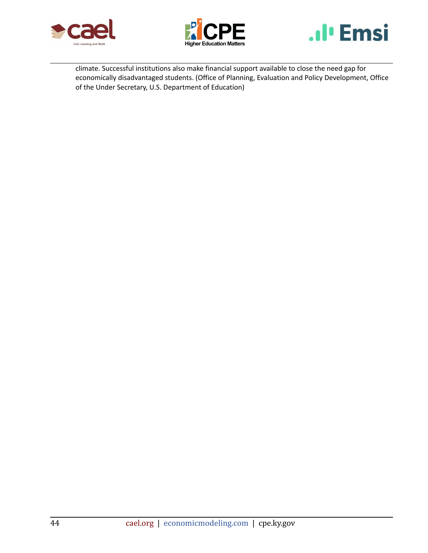





climate. Successful institutions also make financial support available to close the need gap for economically disadvantaged students. (Office of Planning, Evaluation and Policy Development, Office of the Under Secretary, U.S. Department of Education)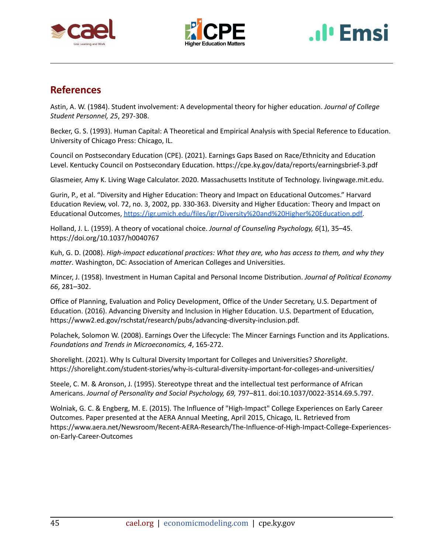





## **References**

Astin, A. W. (1984). Student involvement: A developmental theory for higher education. *Journal of College Student Personnel, 25*, 297-308.

Becker, G. S. (1993). Human Capital: A Theoretical and Empirical Analysis with Special Reference to Education. University of Chicago Press: Chicago, IL.

Council on Postsecondary Education (CPE). (2021). Earnings Gaps Based on Race/Ethnicity and Education Level. Kentucky Council on Postsecondary Education. https://cpe.ky.gov/data/reports/earningsbrief-3.pdf

Glasmeier, Amy K. Living Wage Calculator. 2020. Massachusetts Institute of Technology. livingwage.mit.edu.

Gurin, P., et al. "Diversity and Higher Education: Theory and Impact on Educational Outcomes." Harvard Education Review, vol. 72, no. 3, 2002, pp. 330-363. Diversity and Higher Education: Theory and Impact on Educational Outcomes, [https://igr.umich.edu/files/igr/Diversity%20and%20Higher%20Education.pdf.](https://igr.umich.edu/files/igr/Diversity%20and%20Higher%20Education.pdf)

Holland, J. L. (1959). A theory of vocational choice. *Journal of Counseling Psychology, 6*(1), 35–45. https://doi.org/10.1037/h0040767

Kuh, G. D. (2008). *High-impact educational practices: What they are, who has access to them, and why they matter*. Washington, DC: Association of American Colleges and Universities.

Mincer, J. (1958). Investment in Human Capital and Personal Income Distribution. *Journal of Political Economy 66*, 281–302.

Office of Planning, Evaluation and Policy Development, Office of the Under Secretary, U.S. Department of Education. (2016). Advancing Diversity and Inclusion in Higher Education. U.S. Department of Education, https://www2.ed.gov/rschstat/research/pubs/advancing-diversity-inclusion.pdf.

Polachek, Solomon W. (2008). Earnings Over the Lifecycle: The Mincer Earnings Function and its Applications. *Foundations and Trends in Microeconomics, 4*, 165-272.

Shorelight. (2021). Why Is Cultural Diversity Important for Colleges and Universities? *Shorelight*. https://shorelight.com/student-stories/why-is-cultural-diversity-important-for-colleges-and-universities/

Steele, C. M. & Aronson, J. (1995). Stereotype threat and the intellectual test performance of African Americans. *Journal of Personality and Social Psychology, 69,* 797–811. doi:10.1037/0022-3514.69.5.797.

Wolniak, G. C. & Engberg, M. E. (2015). The Influence of "High-Impact" College Experiences on Early Career Outcomes. Paper presented at the AERA Annual Meeting, April 2015, Chicago, IL. Retrieved from https://www.aera.net/Newsroom/Recent-AERA-Research/The-Influence-of-High-Impact-College-Experienceson-Early-Career-Outcomes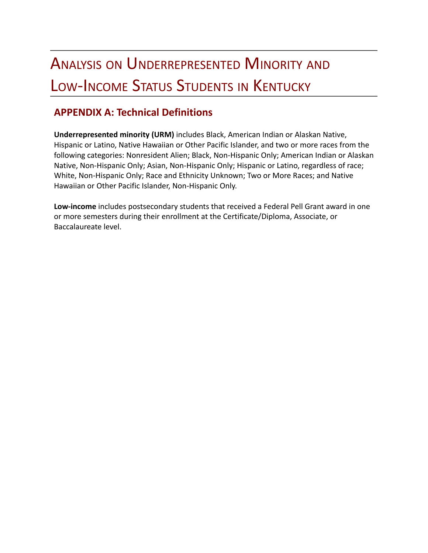## ANALYSIS ON UNDERREPRESENTED MINORITY AND LOW-INCOME STATUS STUDENTS IN KENTUCKY

## **APPENDIX A: Technical Definitions**

**Underrepresented minority (URM)** includes Black, American Indian or Alaskan Native, Hispanic or Latino, Native Hawaiian or Other Pacific Islander, and two or more races from the following categories: Nonresident Alien; Black, Non-Hispanic Only; American Indian or Alaskan Native, Non-Hispanic Only; Asian, Non-Hispanic Only; Hispanic or Latino, regardless of race; White, Non-Hispanic Only; Race and Ethnicity Unknown; Two or More Races; and Native Hawaiian or Other Pacific Islander, Non-Hispanic Only.

**Low-income** includes postsecondary students that received a Federal Pell Grant award in one or more semesters during their enrollment at the Certificate/Diploma, Associate, or Baccalaureate level.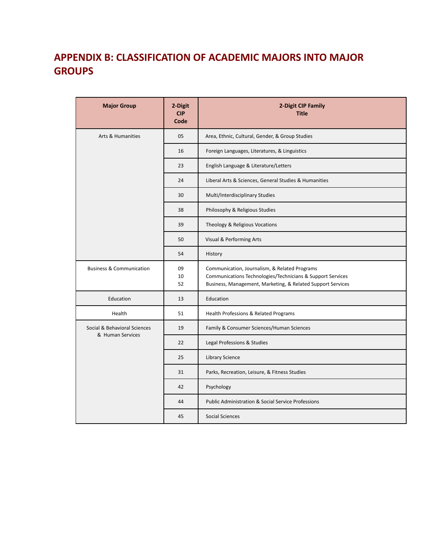## **APPENDIX B: CLASSIFICATION OF ACADEMIC MAJORS INTO MAJOR GROUPS**

| <b>Major Group</b>                  | 2-Digit<br><b>CIP</b><br>Code | 2-Digit CIP Family<br><b>Title</b>                                                                                                                                         |  |
|-------------------------------------|-------------------------------|----------------------------------------------------------------------------------------------------------------------------------------------------------------------------|--|
| <b>Arts &amp; Humanities</b>        | 05                            | Area, Ethnic, Cultural, Gender, & Group Studies                                                                                                                            |  |
|                                     | 16                            | Foreign Languages, Literatures, & Linguistics                                                                                                                              |  |
|                                     | 23                            | English Language & Literature/Letters                                                                                                                                      |  |
|                                     | 24                            | Liberal Arts & Sciences, General Studies & Humanities                                                                                                                      |  |
|                                     | 30                            | Multi/Interdisciplinary Studies                                                                                                                                            |  |
|                                     | 38                            | Philosophy & Religious Studies                                                                                                                                             |  |
|                                     | 39                            | Theology & Religious Vocations                                                                                                                                             |  |
|                                     | 50                            | Visual & Performing Arts                                                                                                                                                   |  |
|                                     | 54                            | History                                                                                                                                                                    |  |
| <b>Business &amp; Communication</b> | 09<br>10<br>52                | Communication, Journalism, & Related Programs<br>Communications Technologies/Technicians & Support Services<br>Business, Management, Marketing, & Related Support Services |  |
| Education                           | 13                            | Education                                                                                                                                                                  |  |
| Health                              | 51                            | Health Professions & Related Programs                                                                                                                                      |  |
| Social & Behavioral Sciences        | 19                            | Family & Consumer Sciences/Human Sciences                                                                                                                                  |  |
| & Human Services                    | 22                            | Legal Professions & Studies                                                                                                                                                |  |
|                                     | 25                            | Library Science                                                                                                                                                            |  |
|                                     | 31                            | Parks, Recreation, Leisure, & Fitness Studies                                                                                                                              |  |
|                                     | 42                            | Psychology                                                                                                                                                                 |  |
|                                     | 44                            | Public Administration & Social Service Professions                                                                                                                         |  |
|                                     | 45                            | <b>Social Sciences</b>                                                                                                                                                     |  |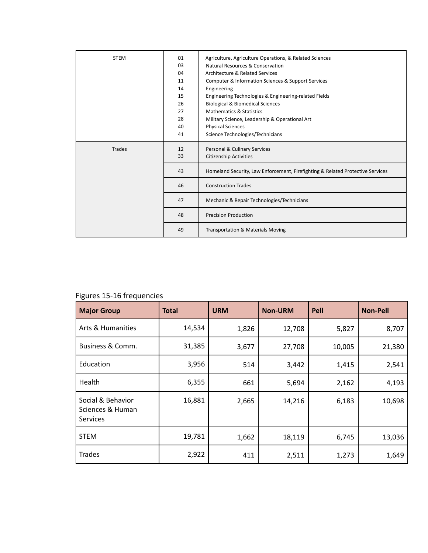| <b>STEM</b>   | 01<br>03<br>04<br>11<br>14<br>15<br>26<br>27<br>28<br>40<br>41 | Agriculture, Agriculture Operations, & Related Sciences<br>Natural Resources & Conservation<br>Architecture & Related Services<br>Computer & Information Sciences & Support Services<br>Engineering<br>Engineering Technologies & Engineering-related Fields<br><b>Biological &amp; Biomedical Sciences</b><br><b>Mathematics &amp; Statistics</b><br>Military Science, Leadership & Operational Art<br><b>Physical Sciences</b><br>Science Technologies/Technicians |
|---------------|----------------------------------------------------------------|----------------------------------------------------------------------------------------------------------------------------------------------------------------------------------------------------------------------------------------------------------------------------------------------------------------------------------------------------------------------------------------------------------------------------------------------------------------------|
| <b>Trades</b> | 12<br>33                                                       | Personal & Culinary Services<br><b>Citizenship Activities</b>                                                                                                                                                                                                                                                                                                                                                                                                        |
|               | 43                                                             | Homeland Security, Law Enforcement, Firefighting & Related Protective Services                                                                                                                                                                                                                                                                                                                                                                                       |
|               | 46                                                             | <b>Construction Trades</b>                                                                                                                                                                                                                                                                                                                                                                                                                                           |
|               | 47                                                             | Mechanic & Repair Technologies/Technicians                                                                                                                                                                                                                                                                                                                                                                                                                           |
|               | 48                                                             | <b>Precision Production</b>                                                                                                                                                                                                                                                                                                                                                                                                                                          |
|               | 49                                                             | <b>Transportation &amp; Materials Moving</b>                                                                                                                                                                                                                                                                                                                                                                                                                         |

## Figures 15-16 frequencies

| <b>Major Group</b>                                       | <b>Total</b> | <b>URM</b> | <b>Non-URM</b> | Pell   | <b>Non-Pell</b> |
|----------------------------------------------------------|--------------|------------|----------------|--------|-----------------|
| Arts & Humanities                                        | 14,534       | 1,826      | 12,708         | 5,827  | 8,707           |
| Business & Comm.                                         | 31,385       | 3,677      | 27,708         | 10,005 | 21,380          |
| Education                                                | 3,956        | 514        | 3,442          | 1,415  | 2,541           |
| Health                                                   | 6,355        | 661        | 5,694          | 2,162  | 4,193           |
| Social & Behavior<br>Sciences & Human<br><b>Services</b> | 16,881       | 2,665      | 14,216         | 6,183  | 10,698          |
| <b>STEM</b>                                              | 19,781       | 1,662      | 18,119         | 6,745  | 13,036          |
| <b>Trades</b>                                            | 2,922        | 411        | 2,511          | 1,273  | 1,649           |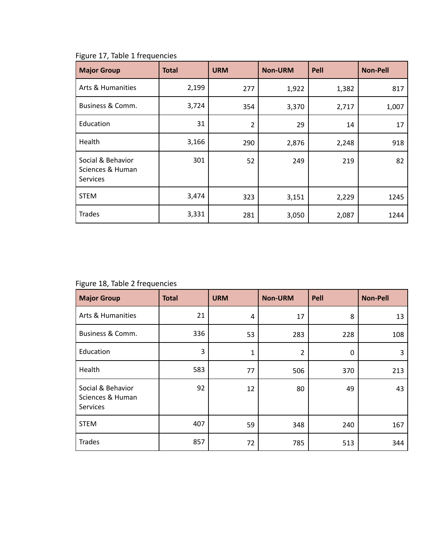| <b>Major Group</b>                                | <b>Total</b> | <b>URM</b>     | <b>Non-URM</b> | Pell  | <b>Non-Pell</b> |
|---------------------------------------------------|--------------|----------------|----------------|-------|-----------------|
| <b>Arts &amp; Humanities</b>                      | 2,199        | 277            | 1,922          | 1,382 | 817             |
| Business & Comm.                                  | 3,724        | 354            | 3,370          | 2,717 | 1,007           |
| Education                                         | 31           | $\overline{2}$ | 29             | 14    | 17              |
| Health                                            | 3,166        | 290            | 2,876          | 2,248 | 918             |
| Social & Behavior<br>Sciences & Human<br>Services | 301          | 52             | 249            | 219   | 82              |
| <b>STEM</b>                                       | 3,474        | 323            | 3,151          | 2,229 | 1245            |
| <b>Trades</b>                                     | 3,331        | 281            | 3,050          | 2,087 | 1244            |

Figure 17, Table 1 frequencies

Figure 18, Table 2 frequencies

| <b>Major Group</b>                                | <b>Total</b> | <b>URM</b> | <b>Non-URM</b> | Pell | <b>Non-Pell</b> |
|---------------------------------------------------|--------------|------------|----------------|------|-----------------|
| <b>Arts &amp; Humanities</b>                      | 21           | 4          | 17             | 8    | 13              |
| Business & Comm.                                  | 336          | 53         | 283            | 228  | 108             |
| Education                                         | 3            | 1          | 2              | 0    | 3               |
| Health                                            | 583          | 77         | 506            | 370  | 213             |
| Social & Behavior<br>Sciences & Human<br>Services | 92           | 12         | 80             | 49   | 43              |
| <b>STEM</b>                                       | 407          | 59         | 348            | 240  | 167             |
| <b>Trades</b>                                     | 857          | 72         | 785            | 513  | 344             |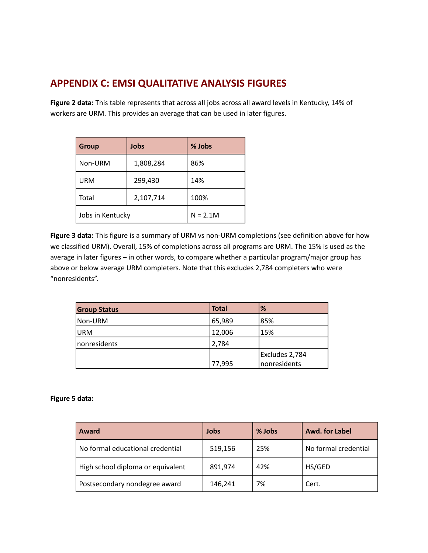## **APPENDIX C: EMSI QUALITATIVE ANALYSIS FIGURES**

**Figure 2 data:** This table represents that across all jobs across all award levels in Kentucky, 14% of workers are URM. This provides an average that can be used in later figures.

| <b>Group</b>     | Jobs      | % Jobs     |
|------------------|-----------|------------|
| Non-URM          | 1,808,284 | 86%        |
| <b>URM</b>       | 299,430   | 14%        |
| Total            | 2,107,714 | 100%       |
| Jobs in Kentucky |           | $N = 2.1M$ |

**Figure 3 data:** This figure is a summary of URM vs non-URM completions (see definition above for how we classified URM). Overall, 15% of completions across all programs are URM. The 15% is used as the average in later figures – in other words, to compare whether a particular program/major group has above or below average URM completers. Note that this excludes 2,784 completers who were "nonresidents".

| <b>Group Status</b> | <b>Total</b> | %              |
|---------------------|--------------|----------------|
| Non-URM             | 65,989       | 85%            |
| URM                 | 12,006       | 15%            |
| nonresidents        | 2,784        |                |
|                     |              | Excludes 2,784 |
|                     | 77,995       | nonresidents   |

### **Figure 5 data:**

| Award                             | Jobs    | % Jobs | Awd. for Label       |
|-----------------------------------|---------|--------|----------------------|
| No formal educational credential  | 519,156 | 25%    | No formal credential |
| High school diploma or equivalent | 891,974 | 42%    | HS/GED               |
| Postsecondary nondegree award     | 146,241 | 7%     | Cert.                |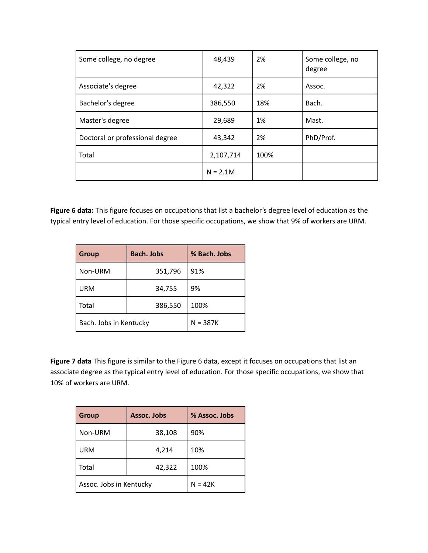| Some college, no degree         | 48,439     | 2%   | Some college, no<br>degree |
|---------------------------------|------------|------|----------------------------|
| Associate's degree              | 42,322     | 2%   | Assoc.                     |
| Bachelor's degree               | 386,550    | 18%  | Bach.                      |
| Master's degree                 | 29,689     | 1%   | Mast.                      |
| Doctoral or professional degree | 43,342     | 2%   | PhD/Prof.                  |
| Total                           | 2,107,714  | 100% |                            |
|                                 | $N = 2.1M$ |      |                            |

**Figure 6 data:** This figure focuses on occupations that list a bachelor's degree level of education as the typical entry level of education. For those specific occupations, we show that 9% of workers are URM.

| <b>Group</b>           | <b>Bach. Jobs</b> | % Bach. Jobs |
|------------------------|-------------------|--------------|
| Non-URM                | 351,796           | 91%          |
| <b>URM</b>             | 34,755            | 9%           |
| Total                  | 386,550           | 100%         |
| Bach. Jobs in Kentucky | $N = 387K$        |              |

**Figure 7 data** This figure is similar to the Figure 6 data, except it focuses on occupations that list an associate degree as the typical entry level of education. For those specific occupations, we show that 10% of workers are URM.

| <b>Group</b>            | Assoc. Jobs<br>% Assoc. Jobs |           |  |
|-------------------------|------------------------------|-----------|--|
| Non-URM                 | 38,108                       | 90%       |  |
| <b>URM</b>              | 4,214                        | 10%       |  |
| Total                   | 42,322                       | 100%      |  |
| Assoc. Jobs in Kentucky |                              | $N = 42K$ |  |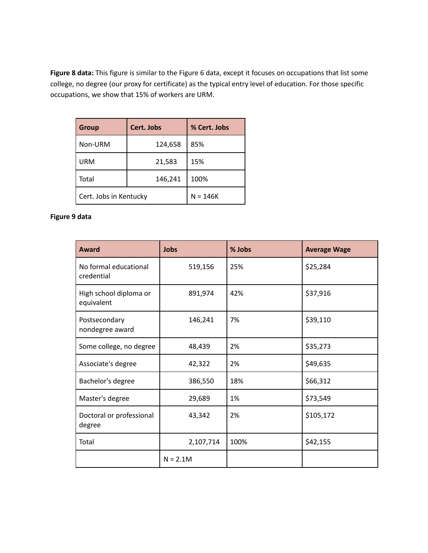**Figure 8 data:** This figure is similar to the Figure 6 data, except it focuses on occupations that list some college, no degree (our proxy for certificate) as the typical entry level of education. For those specific occupations, we show that 15% of workers are URM.

| <b>Group</b>           | Cert. Jobs | % Cert. Jobs |  |
|------------------------|------------|--------------|--|
| Non-URM                | 124,658    | 85%          |  |
| <b>URM</b>             | 21,583     | 15%          |  |
| Total                  | 146,241    | 100%         |  |
| Cert. Jobs in Kentucky | $N = 146K$ |              |  |

## **Figure 9 data**

| <b>Award</b>                         | <b>Jobs</b> | % Jobs | <b>Average Wage</b> |
|--------------------------------------|-------------|--------|---------------------|
| No formal educational<br>credential  | 519,156     | 25%    | \$25,284            |
| High school diploma or<br>equivalent | 891,974     | 42%    | \$37,916            |
| Postsecondary<br>nondegree award     | 146,241     | 7%     | \$39,110            |
| Some college, no degree              | 48,439      | 2%     | \$35,273            |
| Associate's degree                   | 42,322      | 2%     | \$49,635            |
| Bachelor's degree                    | 386,550     | 18%    | \$66,312            |
| Master's degree                      | 29,689      | 1%     | \$73,549            |
| Doctoral or professional<br>degree   | 43,342      | 2%     | \$105,172           |
| Total                                | 2,107,714   | 100%   | \$42,155            |
|                                      | $N = 2.1M$  |        |                     |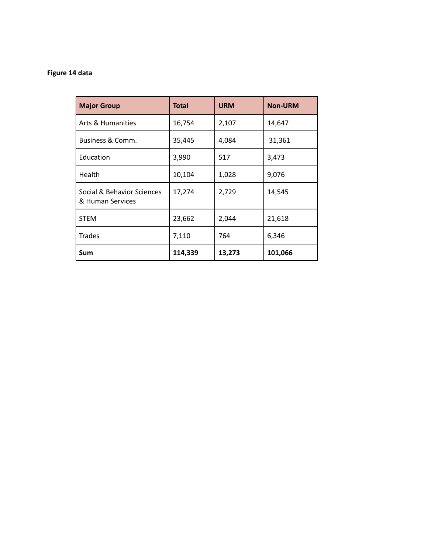## **Figure 14 data**

| <b>Major Group</b>                             | <b>Total</b> | <b>URM</b> | <b>Non-URM</b> |
|------------------------------------------------|--------------|------------|----------------|
| Arts & Humanities                              | 16,754       | 2,107      | 14,647         |
| Business & Comm.                               | 35,445       | 4,084      | 31,361         |
| Education                                      | 3,990        | 517        | 3,473          |
| Health                                         | 10,104       | 1,028      | 9,076          |
| Social & Behavior Sciences<br>& Human Services | 17,274       | 2,729      | 14,545         |
| <b>STEM</b>                                    | 23,662       | 2,044      | 21,618         |
| <b>Trades</b>                                  | 7,110        | 764        | 6,346          |
| Sum                                            | 114,339      | 13,273     | 101,066        |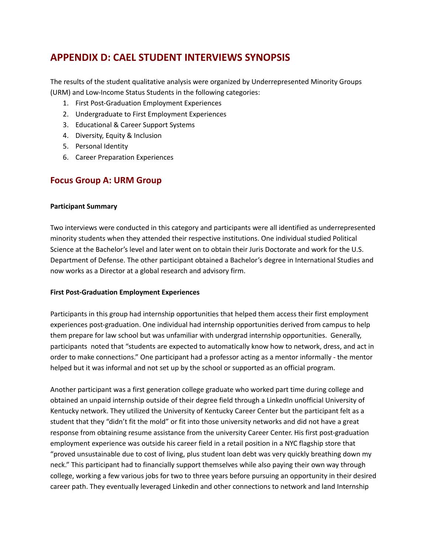## **APPENDIX D: CAEL STUDENT INTERVIEWS SYNOPSIS**

The results of the student qualitative analysis were organized by Underrepresented Minority Groups (URM) and Low-Income Status Students in the following categories:

- 1. First Post-Graduation Employment Experiences
- 2. Undergraduate to First Employment Experiences
- 3. Educational & Career Support Systems
- 4. Diversity, Equity & Inclusion
- 5. Personal Identity
- 6. Career Preparation Experiences

## **Focus Group A: URM Group**

#### **Participant Summary**

Two interviews were conducted in this category and participants were all identified as underrepresented minority students when they attended their respective institutions. One individual studied Political Science at the Bachelor's level and later went on to obtain their Juris Doctorate and work for the U.S. Department of Defense. The other participant obtained a Bachelor's degree in International Studies and now works as a Director at a global research and advisory firm.

### **First Post-Graduation Employment Experiences**

Participants in this group had internship opportunities that helped them access their first employment experiences post-graduation. One individual had internship opportunities derived from campus to help them prepare for law school but was unfamiliar with undergrad internship opportunities. Generally, participants noted that "students are expected to automatically know how to network, dress, and act in order to make connections." One participant had a professor acting as a mentor informally - the mentor helped but it was informal and not set up by the school or supported as an official program.

Another participant was a first generation college graduate who worked part time during college and obtained an unpaid internship outside of their degree field through a LinkedIn unofficial University of Kentucky network. They utilized the University of Kentucky Career Center but the participant felt as a student that they "didn't fit the mold" or fit into those university networks and did not have a great response from obtaining resume assistance from the university Career Center. His first post-graduation employment experience was outside his career field in a retail position in a NYC flagship store that "proved unsustainable due to cost of living, plus student loan debt was very quickly breathing down my neck." This participant had to financially support themselves while also paying their own way through college, working a few various jobs for two to three years before pursuing an opportunity in their desired career path. They eventually leveraged Linkedin and other connections to network and land Internship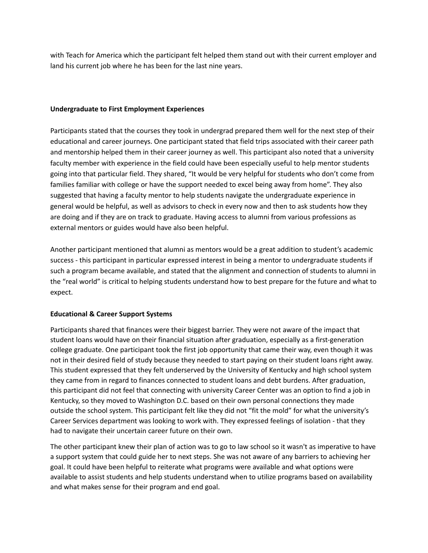with Teach for America which the participant felt helped them stand out with their current employer and land his current job where he has been for the last nine years.

## **Undergraduate to First Employment Experiences**

Participants stated that the courses they took in undergrad prepared them well for the next step of their educational and career journeys. One participant stated that field trips associated with their career path and mentorship helped them in their career journey as well. This participant also noted that a university faculty member with experience in the field could have been especially useful to help mentor students going into that particular field. They shared, "It would be very helpful for students who don't come from families familiar with college or have the support needed to excel being away from home". They also suggested that having a faculty mentor to help students navigate the undergraduate experience in general would be helpful, as well as advisors to check in every now and then to ask students how they are doing and if they are on track to graduate. Having access to alumni from various professions as external mentors or guides would have also been helpful.

Another participant mentioned that alumni as mentors would be a great addition to student's academic success - this participant in particular expressed interest in being a mentor to undergraduate students if such a program became available, and stated that the alignment and connection of students to alumni in the "real world" is critical to helping students understand how to best prepare for the future and what to expect.

## **Educational & Career Support Systems**

Participants shared that finances were their biggest barrier. They were not aware of the impact that student loans would have on their financial situation after graduation, especially as a first-generation college graduate. One participant took the first job opportunity that came their way, even though it was not in their desired field of study because they needed to start paying on their student loans right away. This student expressed that they felt underserved by the University of Kentucky and high school system they came from in regard to finances connected to student loans and debt burdens. After graduation, this participant did not feel that connecting with university Career Center was an option to find a job in Kentucky, so they moved to Washington D.C. based on their own personal connections they made outside the school system. This participant felt like they did not "fit the mold" for what the university's Career Services department was looking to work with. They expressed feelings of isolation - that they had to navigate their uncertain career future on their own.

The other participant knew their plan of action was to go to law school so it wasn't as imperative to have a support system that could guide her to next steps. She was not aware of any barriers to achieving her goal. It could have been helpful to reiterate what programs were available and what options were available to assist students and help students understand when to utilize programs based on availability and what makes sense for their program and end goal.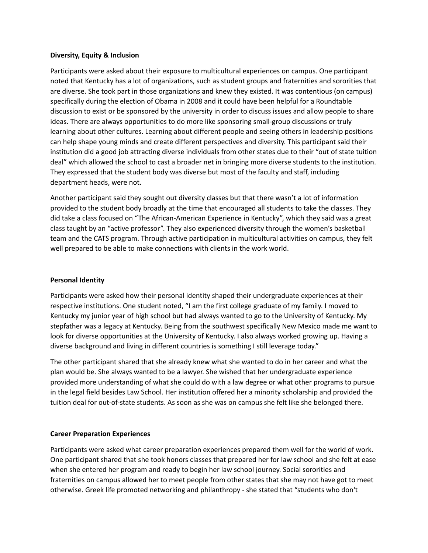#### **Diversity, Equity & Inclusion**

Participants were asked about their exposure to multicultural experiences on campus. One participant noted that Kentucky has a lot of organizations, such as student groups and fraternities and sororities that are diverse. She took part in those organizations and knew they existed. It was contentious (on campus) specifically during the election of Obama in 2008 and it could have been helpful for a Roundtable discussion to exist or be sponsored by the university in order to discuss issues and allow people to share ideas. There are always opportunities to do more like sponsoring small-group discussions or truly learning about other cultures. Learning about different people and seeing others in leadership positions can help shape young minds and create different perspectives and diversity. This participant said their institution did a good job attracting diverse individuals from other states due to their "out of state tuition deal" which allowed the school to cast a broader net in bringing more diverse students to the institution. They expressed that the student body was diverse but most of the faculty and staff, including department heads, were not.

Another participant said they sought out diversity classes but that there wasn't a lot of information provided to the student body broadly at the time that encouraged all students to take the classes. They did take a class focused on "The African-American Experience in Kentucky", which they said was a great class taught by an "active professor". They also experienced diversity through the women's basketball team and the CATS program. Through active participation in multicultural activities on campus, they felt well prepared to be able to make connections with clients in the work world.

### **Personal Identity**

Participants were asked how their personal identity shaped their undergraduate experiences at their respective institutions. One student noted, "I am the first college graduate of my family. I moved to Kentucky my junior year of high school but had always wanted to go to the University of Kentucky. My stepfather was a legacy at Kentucky. Being from the southwest specifically New Mexico made me want to look for diverse opportunities at the University of Kentucky. I also always worked growing up. Having a diverse background and living in different countries is something I still leverage today."

The other participant shared that she already knew what she wanted to do in her career and what the plan would be. She always wanted to be a lawyer. She wished that her undergraduate experience provided more understanding of what she could do with a law degree or what other programs to pursue in the legal field besides Law School. Her institution offered her a minority scholarship and provided the tuition deal for out-of-state students. As soon as she was on campus she felt like she belonged there.

## **Career Preparation Experiences**

Participants were asked what career preparation experiences prepared them well for the world of work. One participant shared that she took honors classes that prepared her for law school and she felt at ease when she entered her program and ready to begin her law school journey. Social sororities and fraternities on campus allowed her to meet people from other states that she may not have got to meet otherwise. Greek life promoted networking and philanthropy - she stated that "students who don't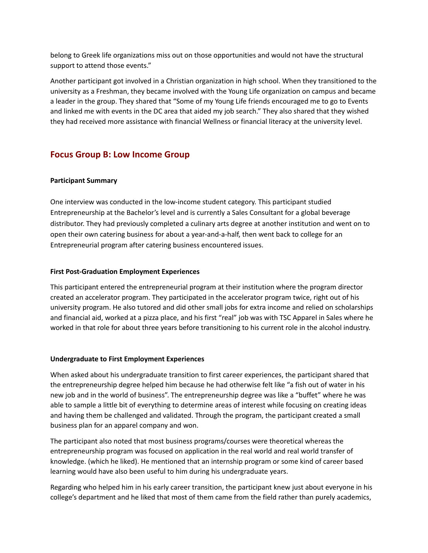belong to Greek life organizations miss out on those opportunities and would not have the structural support to attend those events."

Another participant got involved in a Christian organization in high school. When they transitioned to the university as a Freshman, they became involved with the Young Life organization on campus and became a leader in the group. They shared that "Some of my Young Life friends encouraged me to go to Events and linked me with events in the DC area that aided my job search." They also shared that they wished they had received more assistance with financial Wellness or financial literacy at the university level.

## **Focus Group B: Low Income Group**

## **Participant Summary**

One interview was conducted in the low-income student category. This participant studied Entrepreneurship at the Bachelor's level and is currently a Sales Consultant for a global beverage distributor. They had previously completed a culinary arts degree at another institution and went on to open their own catering business for about a year-and-a-half, then went back to college for an Entrepreneurial program after catering business encountered issues.

## **First Post-Graduation Employment Experiences**

This participant entered the entrepreneurial program at their institution where the program director created an accelerator program. They participated in the accelerator program twice, right out of his university program. He also tutored and did other small jobs for extra income and relied on scholarships and financial aid, worked at a pizza place, and his first "real" job was with TSC Apparel in Sales where he worked in that role for about three years before transitioning to his current role in the alcohol industry.

### **Undergraduate to First Employment Experiences**

When asked about his undergraduate transition to first career experiences, the participant shared that the entrepreneurship degree helped him because he had otherwise felt like "a fish out of water in his new job and in the world of business". The entrepreneurship degree was like a "buffet" where he was able to sample a little bit of everything to determine areas of interest while focusing on creating ideas and having them be challenged and validated. Through the program, the participant created a small business plan for an apparel company and won.

The participant also noted that most business programs/courses were theoretical whereas the entrepreneurship program was focused on application in the real world and real world transfer of knowledge. (which he liked). He mentioned that an internship program or some kind of career based learning would have also been useful to him during his undergraduate years.

Regarding who helped him in his early career transition, the participant knew just about everyone in his college's department and he liked that most of them came from the field rather than purely academics,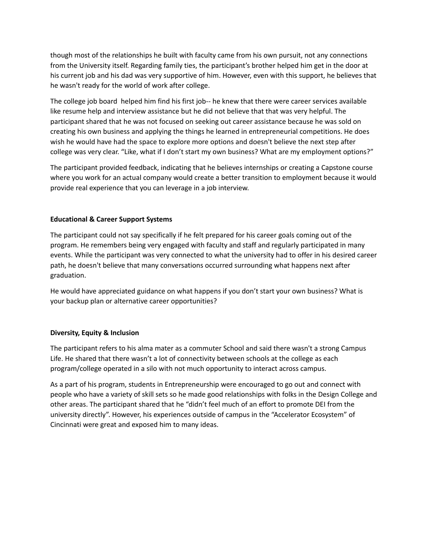though most of the relationships he built with faculty came from his own pursuit, not any connections from the University itself. Regarding family ties, the participant's brother helped him get in the door at his current job and his dad was very supportive of him. However, even with this support, he believes that he wasn't ready for the world of work after college.

The college job board helped him find his first job-- he knew that there were career services available like resume help and interview assistance but he did not believe that that was very helpful. The participant shared that he was not focused on seeking out career assistance because he was sold on creating his own business and applying the things he learned in entrepreneurial competitions. He does wish he would have had the space to explore more options and doesn't believe the next step after college was very clear. "Like, what if I don't start my own business? What are my employment options?"

The participant provided feedback, indicating that he believes internships or creating a Capstone course where you work for an actual company would create a better transition to employment because it would provide real experience that you can leverage in a job interview.

## **Educational & Career Support Systems**

The participant could not say specifically if he felt prepared for his career goals coming out of the program. He remembers being very engaged with faculty and staff and regularly participated in many events. While the participant was very connected to what the university had to offer in his desired career path, he doesn't believe that many conversations occurred surrounding what happens next after graduation.

He would have appreciated guidance on what happens if you don't start your own business? What is your backup plan or alternative career opportunities?

### **Diversity, Equity & Inclusion**

The participant refers to his alma mater as a commuter School and said there wasn't a strong Campus Life. He shared that there wasn't a lot of connectivity between schools at the college as each program/college operated in a silo with not much opportunity to interact across campus.

As a part of his program, students in Entrepreneurship were encouraged to go out and connect with people who have a variety of skill sets so he made good relationships with folks in the Design College and other areas. The participant shared that he "didn't feel much of an effort to promote DEI from the university directly". However, his experiences outside of campus in the "Accelerator Ecosystem" of Cincinnati were great and exposed him to many ideas.